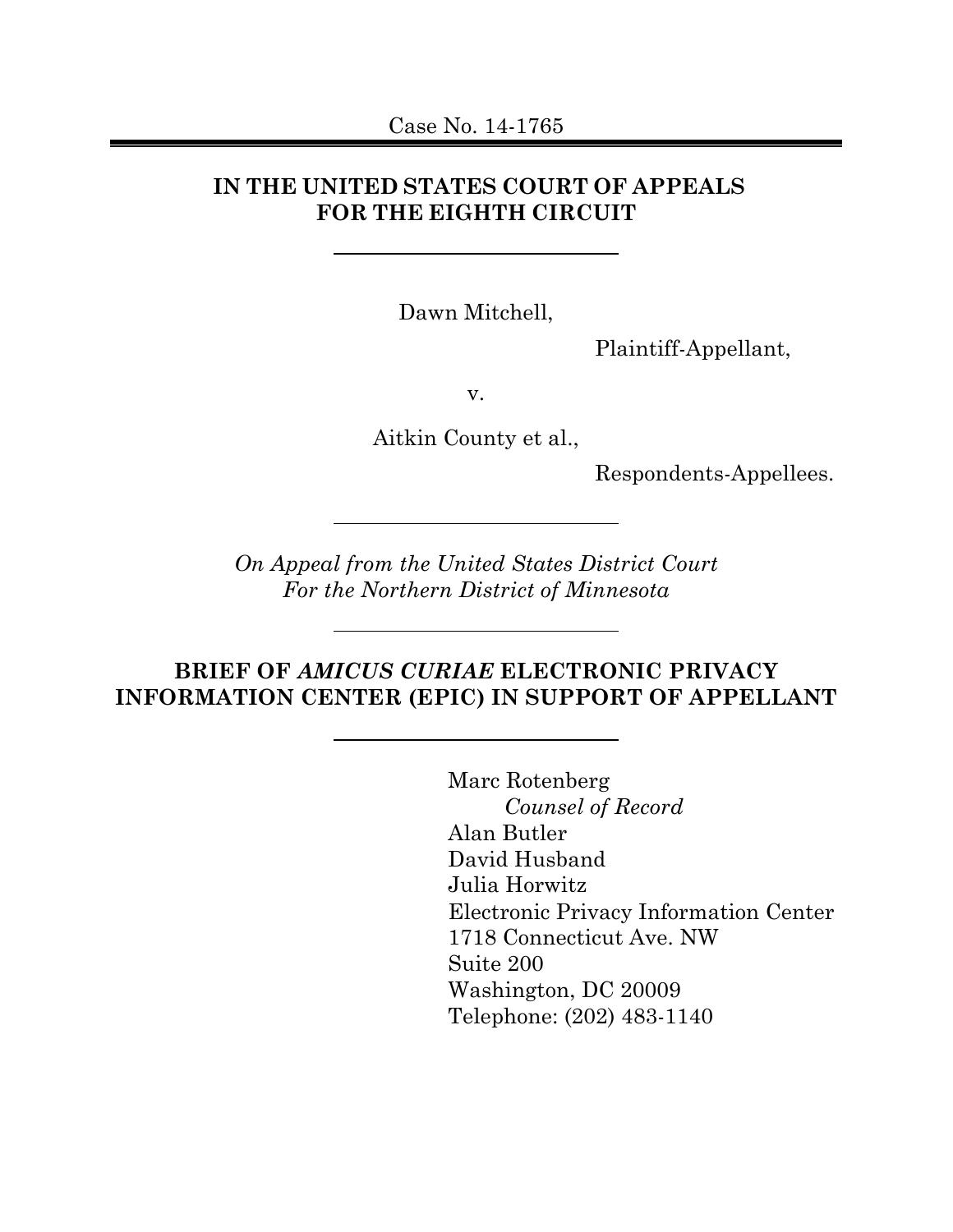## **IN THE UNITED STATES COURT OF APPEALS FOR THE EIGHTH CIRCUIT**

Dawn Mitchell,

Plaintiff-Appellant,

v.

Aitkin County et al.,

Respondents-Appellees.

*On Appeal from the United States District Court For the Northern District of Minnesota*

### **BRIEF OF** *AMICUS CURIAE* **ELECTRONIC PRIVACY INFORMATION CENTER (EPIC) IN SUPPORT OF APPELLANT**

Marc Rotenberg *Counsel of Record* Alan Butler David Husband Julia Horwitz Electronic Privacy Information Center 1718 Connecticut Ave. NW Suite 200 Washington, DC 20009 Telephone: (202) 483-1140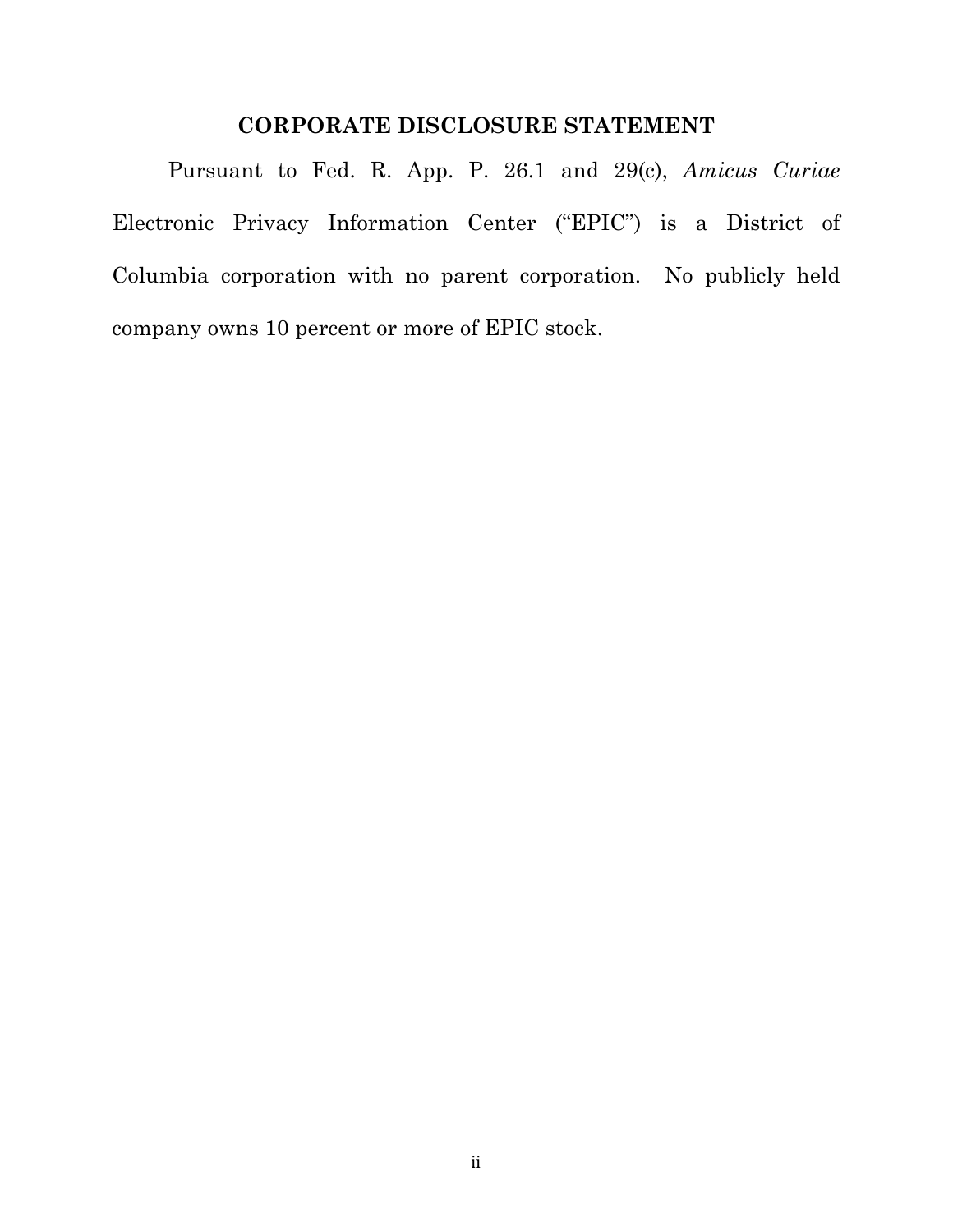### **CORPORATE DISCLOSURE STATEMENT**

Pursuant to Fed. R. App. P. 26.1 and 29(c), *Amicus Curiae* Electronic Privacy Information Center ("EPIC") is a District of Columbia corporation with no parent corporation. No publicly held company owns 10 percent or more of EPIC stock.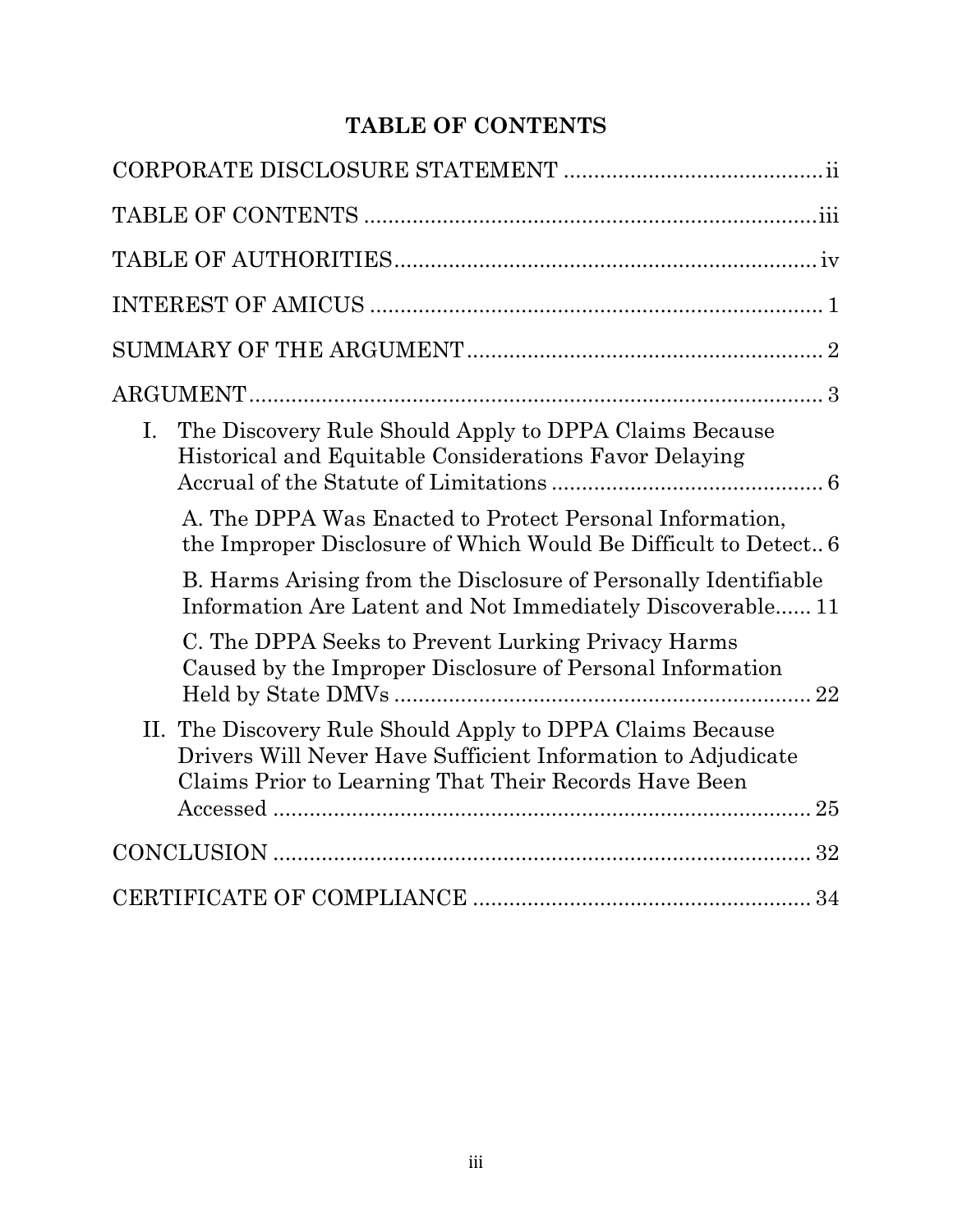# **TABLE OF CONTENTS**

| The Discovery Rule Should Apply to DPPA Claims Because<br>Ι.<br>Historical and Equitable Considerations Favor Delaying                                                              |
|-------------------------------------------------------------------------------------------------------------------------------------------------------------------------------------|
| A. The DPPA Was Enacted to Protect Personal Information,<br>the Improper Disclosure of Which Would Be Difficult to Detect 6                                                         |
| B. Harms Arising from the Disclosure of Personally Identifiable<br>Information Are Latent and Not Immediately Discoverable 11                                                       |
| C. The DPPA Seeks to Prevent Lurking Privacy Harms<br>Caused by the Improper Disclosure of Personal Information                                                                     |
| II. The Discovery Rule Should Apply to DPPA Claims Because<br>Drivers Will Never Have Sufficient Information to Adjudicate<br>Claims Prior to Learning That Their Records Have Been |
|                                                                                                                                                                                     |
|                                                                                                                                                                                     |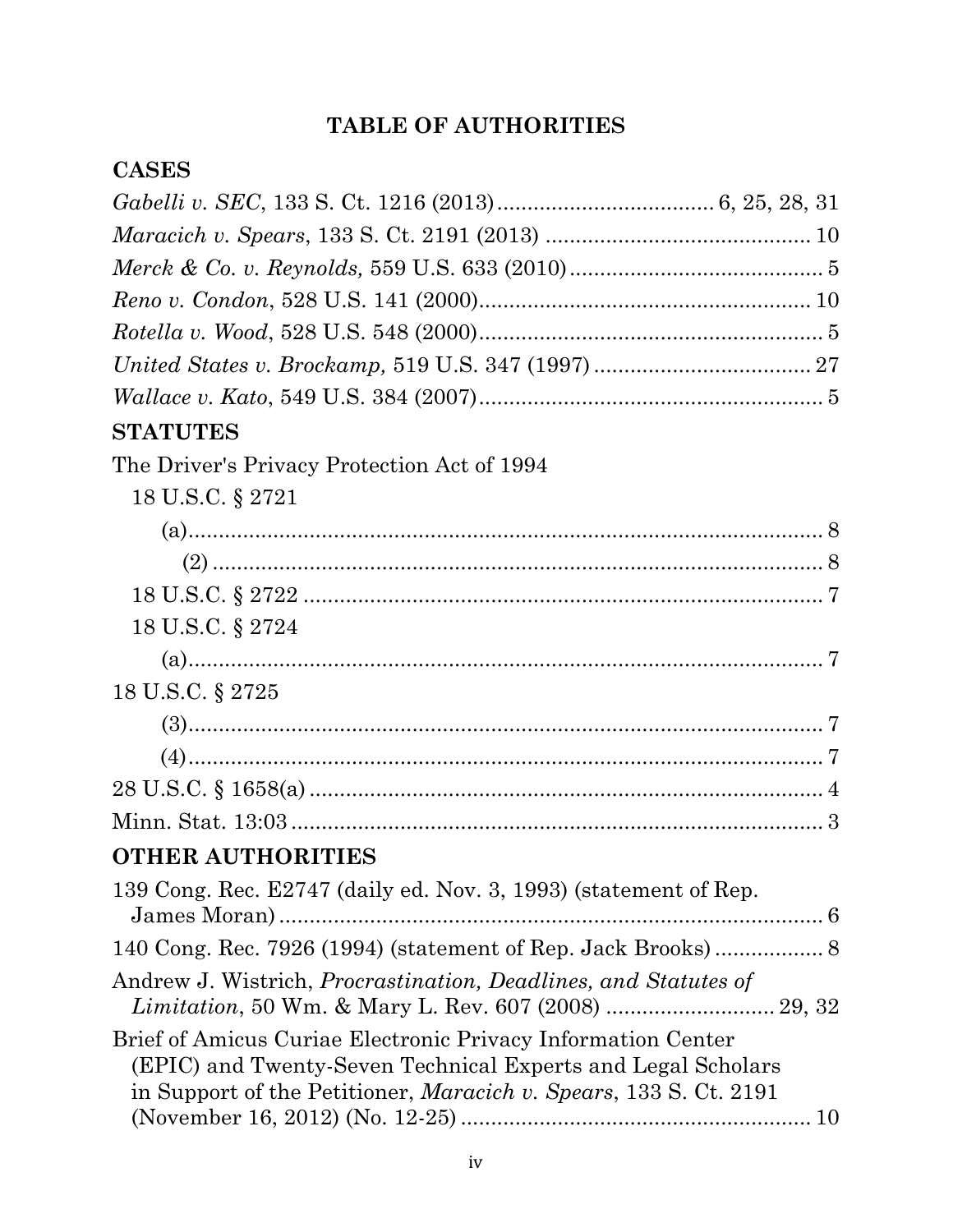# **TABLE OF AUTHORITIES**

## **CASES**

| $\it Wallace~v.~Kato,~549~U.S.~384~(2007)5$                                                                                                                                                               |  |
|-----------------------------------------------------------------------------------------------------------------------------------------------------------------------------------------------------------|--|
| <b>STATUTES</b>                                                                                                                                                                                           |  |
| The Driver's Privacy Protection Act of 1994                                                                                                                                                               |  |
| 18 U.S.C. § 2721                                                                                                                                                                                          |  |
|                                                                                                                                                                                                           |  |
|                                                                                                                                                                                                           |  |
|                                                                                                                                                                                                           |  |
| 18 U.S.C. § 2724                                                                                                                                                                                          |  |
|                                                                                                                                                                                                           |  |
| 18 U.S.C. § 2725                                                                                                                                                                                          |  |
|                                                                                                                                                                                                           |  |
|                                                                                                                                                                                                           |  |
|                                                                                                                                                                                                           |  |
|                                                                                                                                                                                                           |  |
| <b>OTHER AUTHORITIES</b>                                                                                                                                                                                  |  |
| 139 Cong. Rec. E2747 (daily ed. Nov. 3, 1993) (statement of Rep.                                                                                                                                          |  |
|                                                                                                                                                                                                           |  |
| Andrew J. Wistrich, <i>Procrastination</i> , <i>Deadlines</i> , and <i>Statutes of</i>                                                                                                                    |  |
| Brief of Amicus Curiae Electronic Privacy Information Center<br>(EPIC) and Twenty-Seven Technical Experts and Legal Scholars<br>in Support of the Petitioner, <i>Maracich v. Spears</i> , 133 S. Ct. 2191 |  |
|                                                                                                                                                                                                           |  |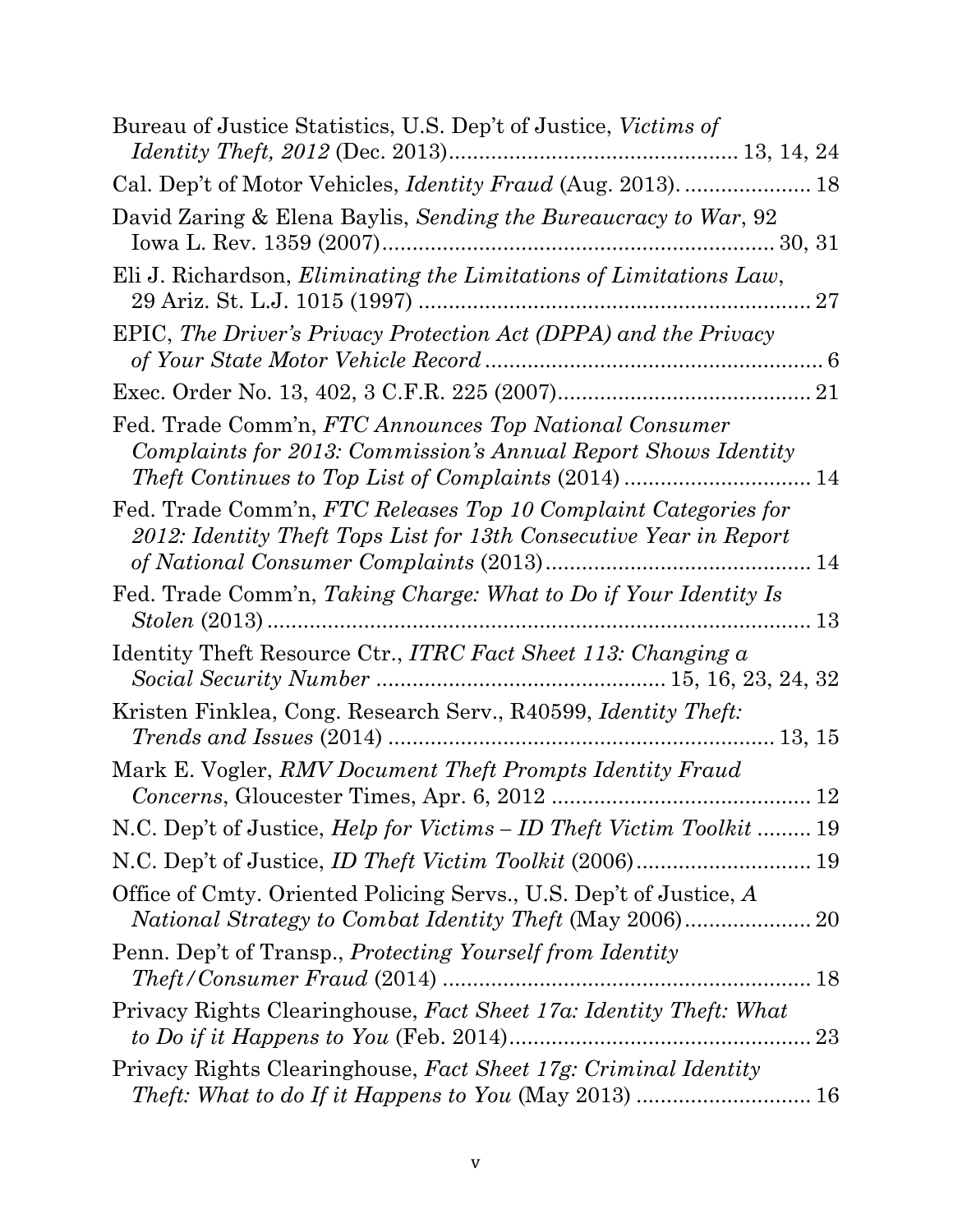| Bureau of Justice Statistics, U.S. Dep't of Justice, Victims of                                                                       |
|---------------------------------------------------------------------------------------------------------------------------------------|
| Cal. Dep't of Motor Vehicles, <i>Identity Fraud</i> (Aug. 2013).  18                                                                  |
| David Zaring & Elena Baylis, Sending the Bureaucracy to War, 92                                                                       |
| Eli J. Richardson, <i>Eliminating the Limitations of Limitations Law</i> ,                                                            |
| EPIC, The Driver's Privacy Protection Act (DPPA) and the Privacy                                                                      |
|                                                                                                                                       |
| Fed. Trade Comm'n, FTC Announces Top National Consumer<br>Complaints for 2013: Commission's Annual Report Shows Identity              |
| Fed. Trade Comm'n, FTC Releases Top 10 Complaint Categories for<br>2012: Identity Theft Tops List for 13th Consecutive Year in Report |
| Fed. Trade Comm'n, Taking Charge: What to Do if Your Identity Is                                                                      |
| Identity Theft Resource Ctr., ITRC Fact Sheet 113: Changing a                                                                         |
| Kristen Finklea, Cong. Research Serv., R40599, <i>Identity Theft</i> :                                                                |
| Mark E. Vogler, RMV Document Theft Prompts Identity Fraud                                                                             |
| N.C. Dep't of Justice, <i>Help for Victims – ID Theft Victim Toolkit</i> 19                                                           |
|                                                                                                                                       |
| Office of Cmty. Oriented Policing Servs., U.S. Dep't of Justice, A                                                                    |
| Penn. Dep't of Transp., Protecting Yourself from Identity                                                                             |
| Privacy Rights Clearinghouse, Fact Sheet 17a: Identity Theft: What                                                                    |
| Privacy Rights Clearinghouse, Fact Sheet 17g: Criminal Identity<br><i>Theft: What to do If it Happens to You (May 2013) </i> 16       |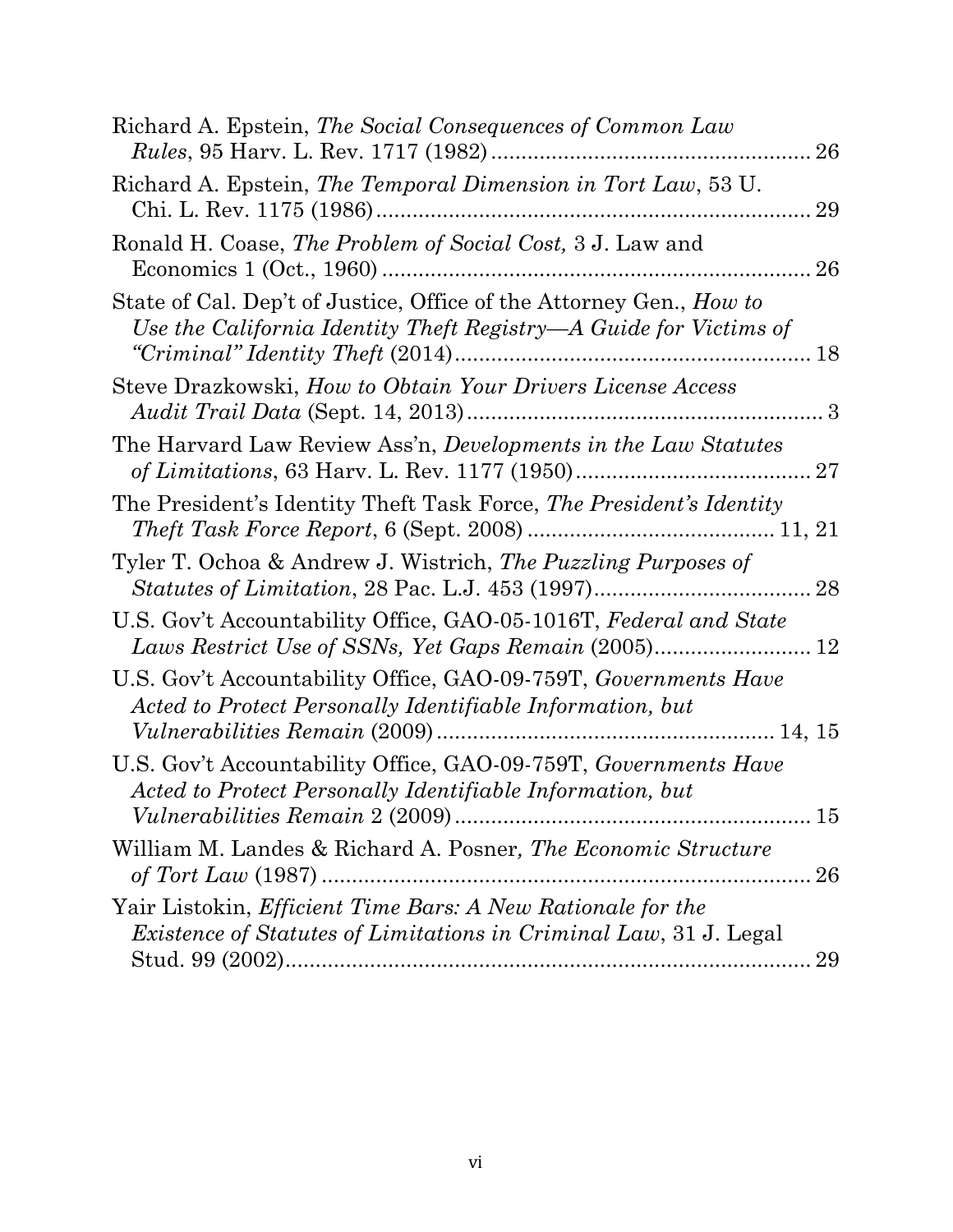| Richard A. Epstein, The Social Consequences of Common Law                                                                                | 26 |
|------------------------------------------------------------------------------------------------------------------------------------------|----|
| Richard A. Epstein, The Temporal Dimension in Tort Law, 53 U.                                                                            | 29 |
| Ronald H. Coase, The Problem of Social Cost, 3 J. Law and                                                                                | 26 |
| State of Cal. Dep't of Justice, Office of the Attorney Gen., How to<br>Use the California Identity Theft Registry—A Guide for Victims of |    |
| Steve Drazkowski, How to Obtain Your Drivers License Access                                                                              |    |
| The Harvard Law Review Ass'n, Developments in the Law Statutes                                                                           | 27 |
| The President's Identity Theft Task Force, The President's Identity                                                                      |    |
| Tyler T. Ochoa & Andrew J. Wistrich, The Puzzling Purposes of                                                                            |    |
| U.S. Gov't Accountability Office, GAO-05-1016T, Federal and State                                                                        |    |
| U.S. Gov't Accountability Office, GAO-09-759T, Governments Have<br>Acted to Protect Personally Identifiable Information, but             |    |
| U.S. Gov't Accountability Office, GAO-09-759T, Governments Have<br>Acted to Protect Personally Identifiable Information, but             |    |
| William M. Landes & Richard A. Posner, The Economic Structure                                                                            |    |
| Yair Listokin, Efficient Time Bars: A New Rationale for the<br><i>Existence of Statutes of Limitations in Criminal Law, 31 J. Legal</i>  | 29 |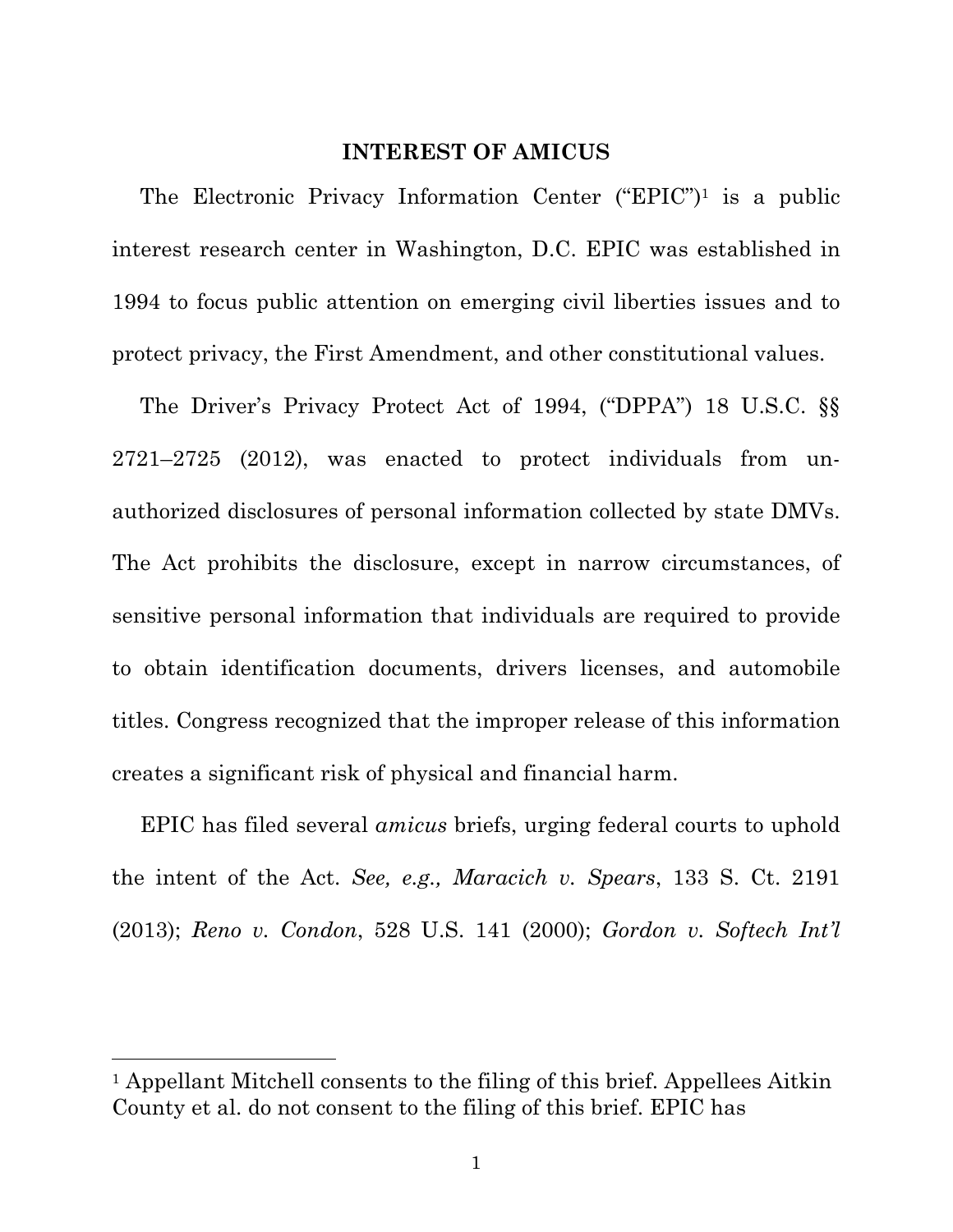#### **INTEREST OF AMICUS**

The Electronic Privacy Information Center ("EPIC")1 is a public interest research center in Washington, D.C. EPIC was established in 1994 to focus public attention on emerging civil liberties issues and to protect privacy, the First Amendment, and other constitutional values.

The Driver's Privacy Protect Act of 1994, ("DPPA") 18 U.S.C. §§ 2721–2725 (2012), was enacted to protect individuals from unauthorized disclosures of personal information collected by state DMVs. The Act prohibits the disclosure, except in narrow circumstances, of sensitive personal information that individuals are required to provide to obtain identification documents, drivers licenses, and automobile titles. Congress recognized that the improper release of this information creates a significant risk of physical and financial harm.

EPIC has filed several *amicus* briefs, urging federal courts to uphold the intent of the Act. *See, e.g., Maracich v. Spears*, 133 S. Ct. 2191 (2013); *Reno v. Condon*, 528 U.S. 141 (2000); *Gordon v. Softech Int'l* 

<sup>1</sup> Appellant Mitchell consents to the filing of this brief. Appellees Aitkin County et al. do not consent to the filing of this brief. EPIC has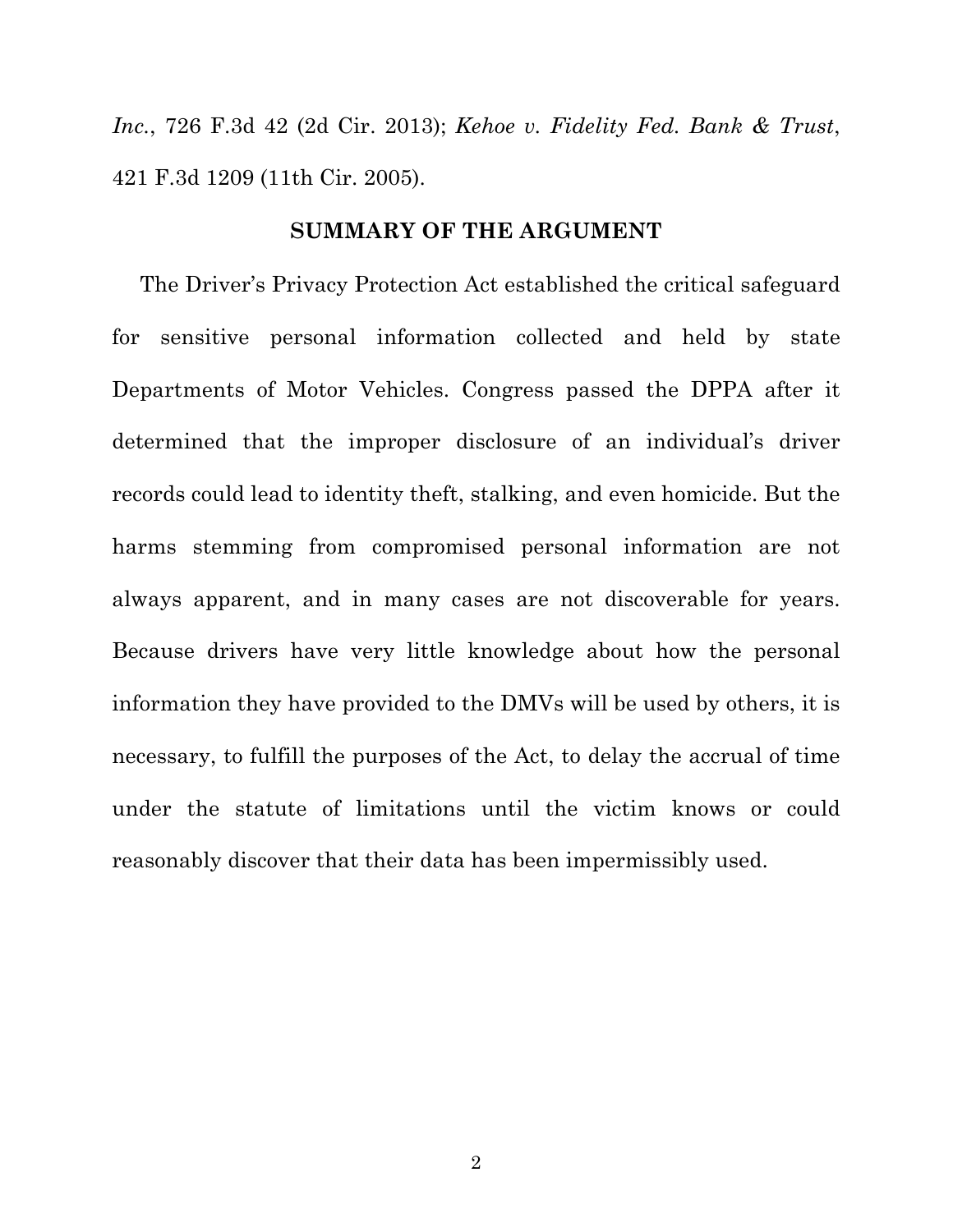*Inc.*, 726 F.3d 42 (2d Cir. 2013); *Kehoe v. Fidelity Fed. Bank & Trust*, 421 F.3d 1209 (11th Cir. 2005).

#### **SUMMARY OF THE ARGUMENT**

The Driver's Privacy Protection Act established the critical safeguard for sensitive personal information collected and held by state Departments of Motor Vehicles. Congress passed the DPPA after it determined that the improper disclosure of an individual's driver records could lead to identity theft, stalking, and even homicide. But the harms stemming from compromised personal information are not always apparent, and in many cases are not discoverable for years. Because drivers have very little knowledge about how the personal information they have provided to the DMVs will be used by others, it is necessary, to fulfill the purposes of the Act, to delay the accrual of time under the statute of limitations until the victim knows or could reasonably discover that their data has been impermissibly used.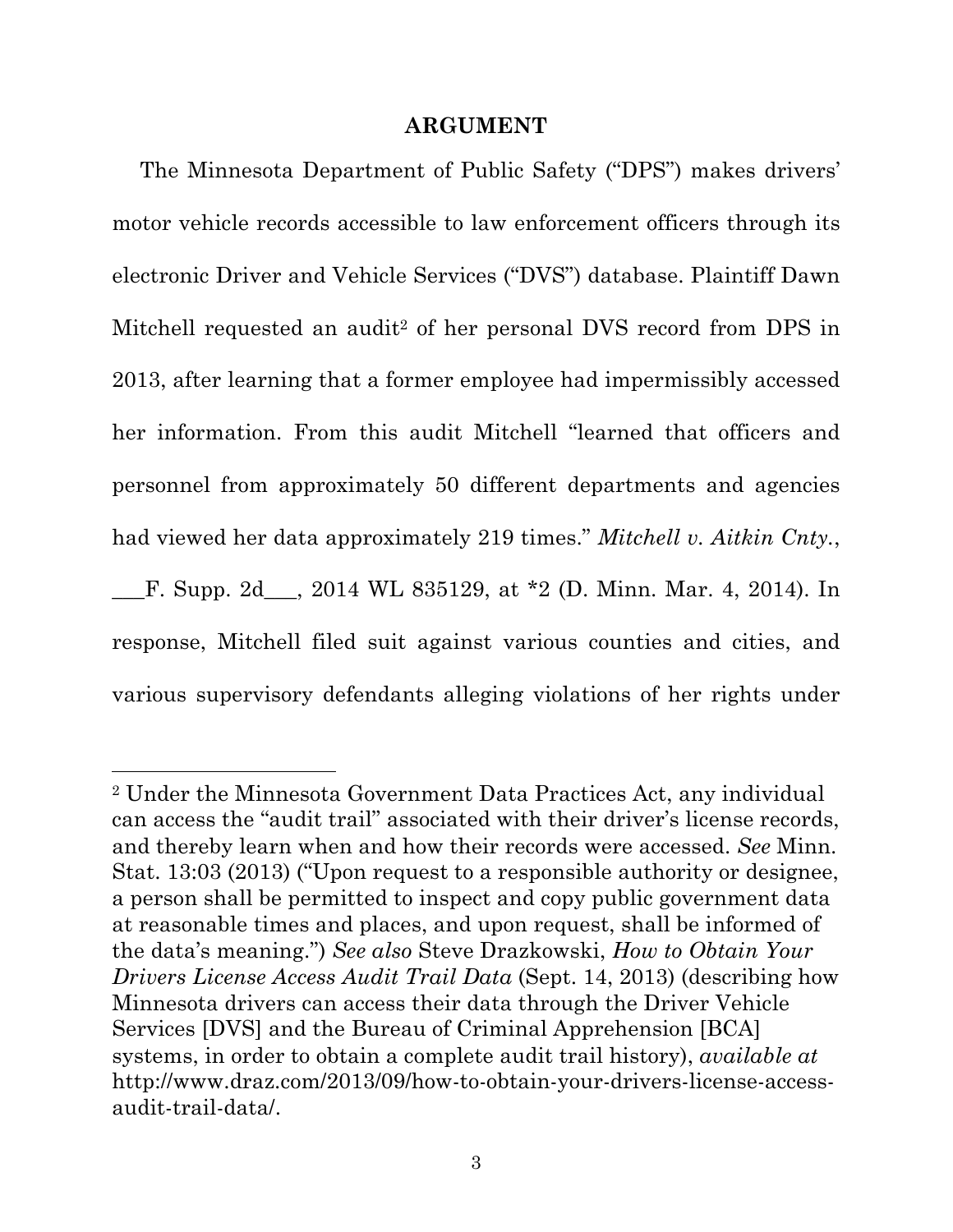#### **ARGUMENT**

The Minnesota Department of Public Safety ("DPS") makes drivers' motor vehicle records accessible to law enforcement officers through its electronic Driver and Vehicle Services ("DVS") database. Plaintiff Dawn Mitchell requested an audit<sup>2</sup> of her personal DVS record from DPS in 2013, after learning that a former employee had impermissibly accessed her information. From this audit Mitchell "learned that officers and personnel from approximately 50 different departments and agencies had viewed her data approximately 219 times." *Mitchell v. Aitkin Cnty.*, \_\_\_F. Supp. 2d\_\_\_, 2014 WL 835129, at \*2 (D. Minn. Mar. 4, 2014). In response, Mitchell filed suit against various counties and cities, and various supervisory defendants alleging violations of her rights under

<sup>2</sup> Under the Minnesota Government Data Practices Act, any individual can access the "audit trail" associated with their driver's license records, and thereby learn when and how their records were accessed. *See* Minn. Stat. 13:03 (2013) ("Upon request to a responsible authority or designee, a person shall be permitted to inspect and copy public government data at reasonable times and places, and upon request, shall be informed of the data's meaning.") *See also* Steve Drazkowski, *How to Obtain Your Drivers License Access Audit Trail Data* (Sept. 14, 2013) (describing how Minnesota drivers can access their data through the Driver Vehicle Services [DVS] and the Bureau of Criminal Apprehension [BCA] systems, in order to obtain a complete audit trail history), *available at* http://www.draz.com/2013/09/how-to-obtain-your-drivers-license-accessaudit-trail-data/.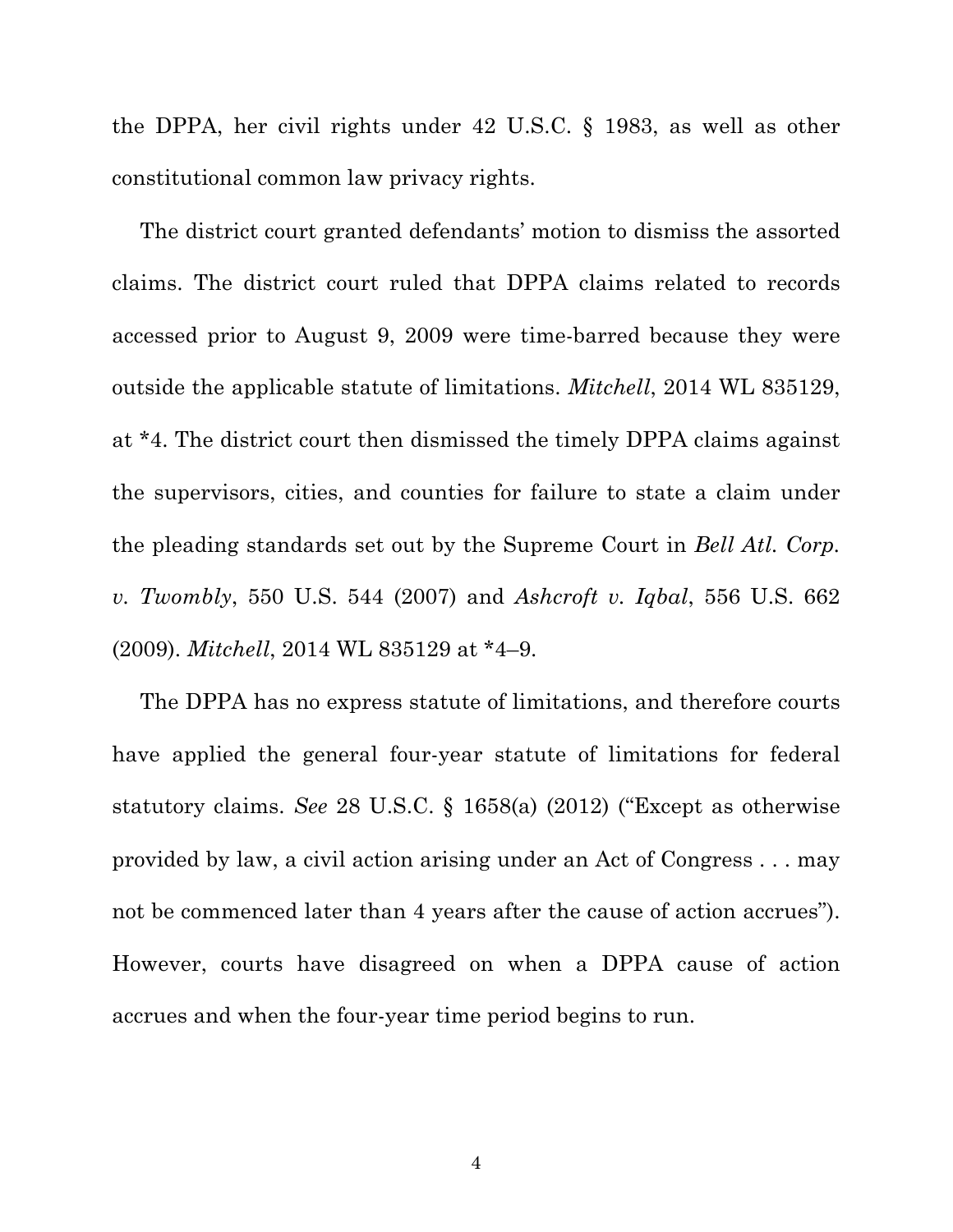the DPPA, her civil rights under 42 U.S.C. § 1983, as well as other constitutional common law privacy rights.

The district court granted defendants' motion to dismiss the assorted claims. The district court ruled that DPPA claims related to records accessed prior to August 9, 2009 were time-barred because they were outside the applicable statute of limitations. *Mitchell*, 2014 WL 835129, at \*4. The district court then dismissed the timely DPPA claims against the supervisors, cities, and counties for failure to state a claim under the pleading standards set out by the Supreme Court in *Bell Atl. Corp. v. Twombly*, 550 U.S. 544 (2007) and *Ashcroft v. Iqbal*, 556 U.S. 662 (2009). *Mitchell*, 2014 WL 835129 at \*4–9.

The DPPA has no express statute of limitations, and therefore courts have applied the general four-year statute of limitations for federal statutory claims. *See* 28 U.S.C. § 1658(a) (2012) ("Except as otherwise provided by law, a civil action arising under an Act of Congress . . . may not be commenced later than 4 years after the cause of action accrues"). However, courts have disagreed on when a DPPA cause of action accrues and when the four-year time period begins to run.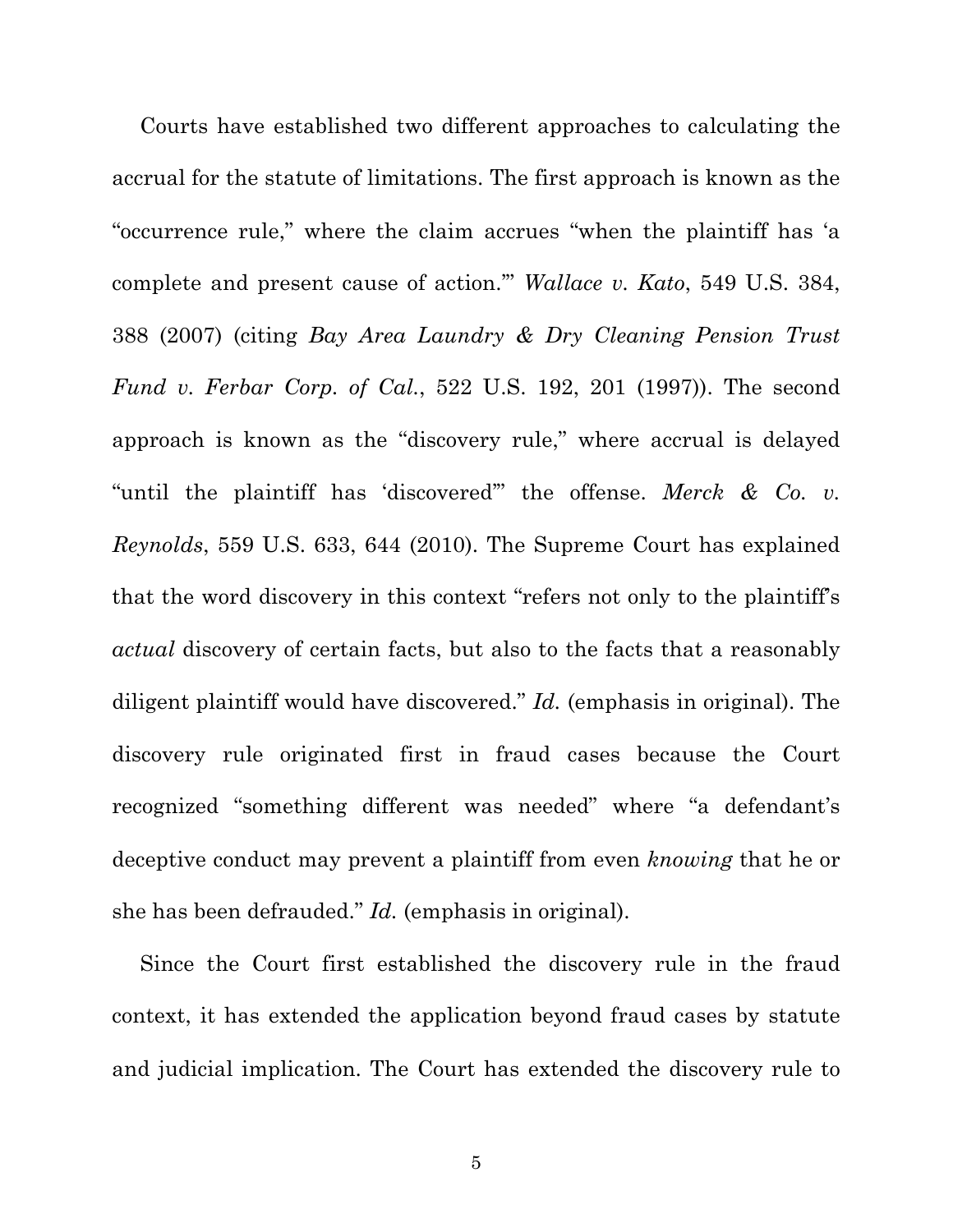Courts have established two different approaches to calculating the accrual for the statute of limitations. The first approach is known as the "occurrence rule," where the claim accrues "when the plaintiff has 'a complete and present cause of action.'" *Wallace v. Kato*, 549 U.S. 384, 388 (2007) (citing *Bay Area Laundry & Dry Cleaning Pension Trust Fund v. Ferbar Corp. of Cal.*, 522 U.S. 192, 201 (1997)). The second approach is known as the "discovery rule," where accrual is delayed "until the plaintiff has 'discovered'" the offense. *Merck & Co. v. Reynolds*, 559 U.S. 633, 644 (2010). The Supreme Court has explained that the word discovery in this context "refers not only to the plaintiff's *actual* discovery of certain facts, but also to the facts that a reasonably diligent plaintiff would have discovered." *Id.* (emphasis in original). The discovery rule originated first in fraud cases because the Court recognized "something different was needed" where "a defendant's deceptive conduct may prevent a plaintiff from even *knowing* that he or she has been defrauded." *Id.* (emphasis in original).

Since the Court first established the discovery rule in the fraud context, it has extended the application beyond fraud cases by statute and judicial implication. The Court has extended the discovery rule to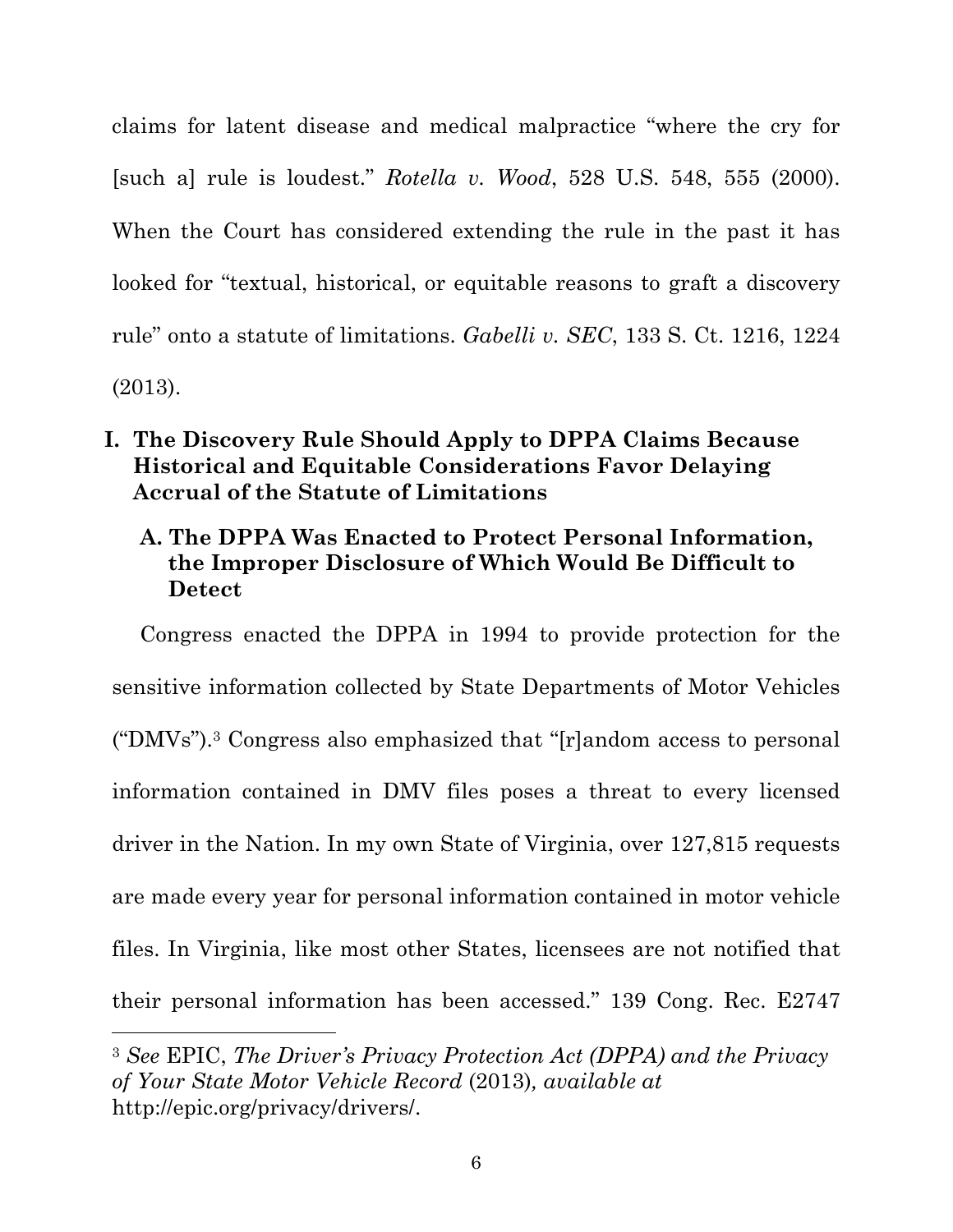claims for latent disease and medical malpractice "where the cry for [such a] rule is loudest." *Rotella v. Wood*, 528 U.S. 548, 555 (2000). When the Court has considered extending the rule in the past it has looked for "textual, historical, or equitable reasons to graft a discovery rule" onto a statute of limitations. *Gabelli v. SEC*, 133 S. Ct. 1216, 1224 (2013).

## **I. The Discovery Rule Should Apply to DPPA Claims Because Historical and Equitable Considerations Favor Delaying Accrual of the Statute of Limitations**

## **A. The DPPA Was Enacted to Protect Personal Information, the Improper Disclosure of Which Would Be Difficult to Detect**

Congress enacted the DPPA in 1994 to provide protection for the sensitive information collected by State Departments of Motor Vehicles ("DMVs").3 Congress also emphasized that "[r]andom access to personal information contained in DMV files poses a threat to every licensed driver in the Nation. In my own State of Virginia, over 127,815 requests are made every year for personal information contained in motor vehicle files. In Virginia, like most other States, licensees are not notified that their personal information has been accessed." 139 Cong. Rec. E2747

<sup>3</sup> *See* EPIC, *The Driver's Privacy Protection Act (DPPA) and the Privacy of Your State Motor Vehicle Record* (2013)*, available at* http://epic.org/privacy/drivers/.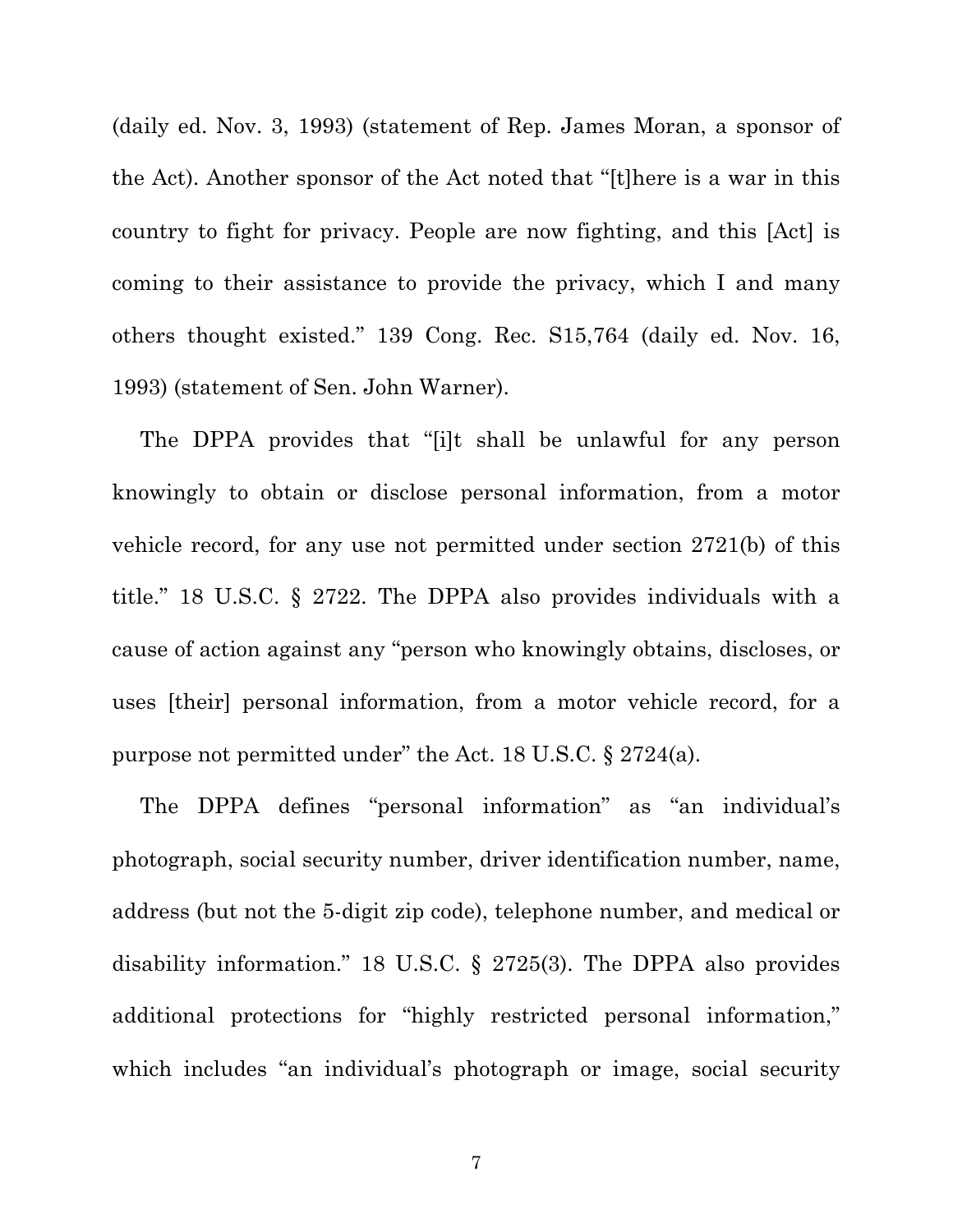(daily ed. Nov. 3, 1993) (statement of Rep. James Moran, a sponsor of the Act). Another sponsor of the Act noted that "[t]here is a war in this country to fight for privacy. People are now fighting, and this [Act] is coming to their assistance to provide the privacy, which I and many others thought existed." 139 Cong. Rec. S15,764 (daily ed. Nov. 16, 1993) (statement of Sen. John Warner).

The DPPA provides that "[i]t shall be unlawful for any person knowingly to obtain or disclose personal information, from a motor vehicle record, for any use not permitted under section 2721(b) of this title." 18 U.S.C. § 2722. The DPPA also provides individuals with a cause of action against any "person who knowingly obtains, discloses, or uses [their] personal information, from a motor vehicle record, for a purpose not permitted under" the Act. 18 U.S.C. § 2724(a).

The DPPA defines "personal information" as "an individual's photograph, social security number, driver identification number, name, address (but not the 5-digit zip code), telephone number, and medical or disability information." 18 U.S.C. § 2725(3). The DPPA also provides additional protections for "highly restricted personal information," which includes "an individual's photograph or image, social security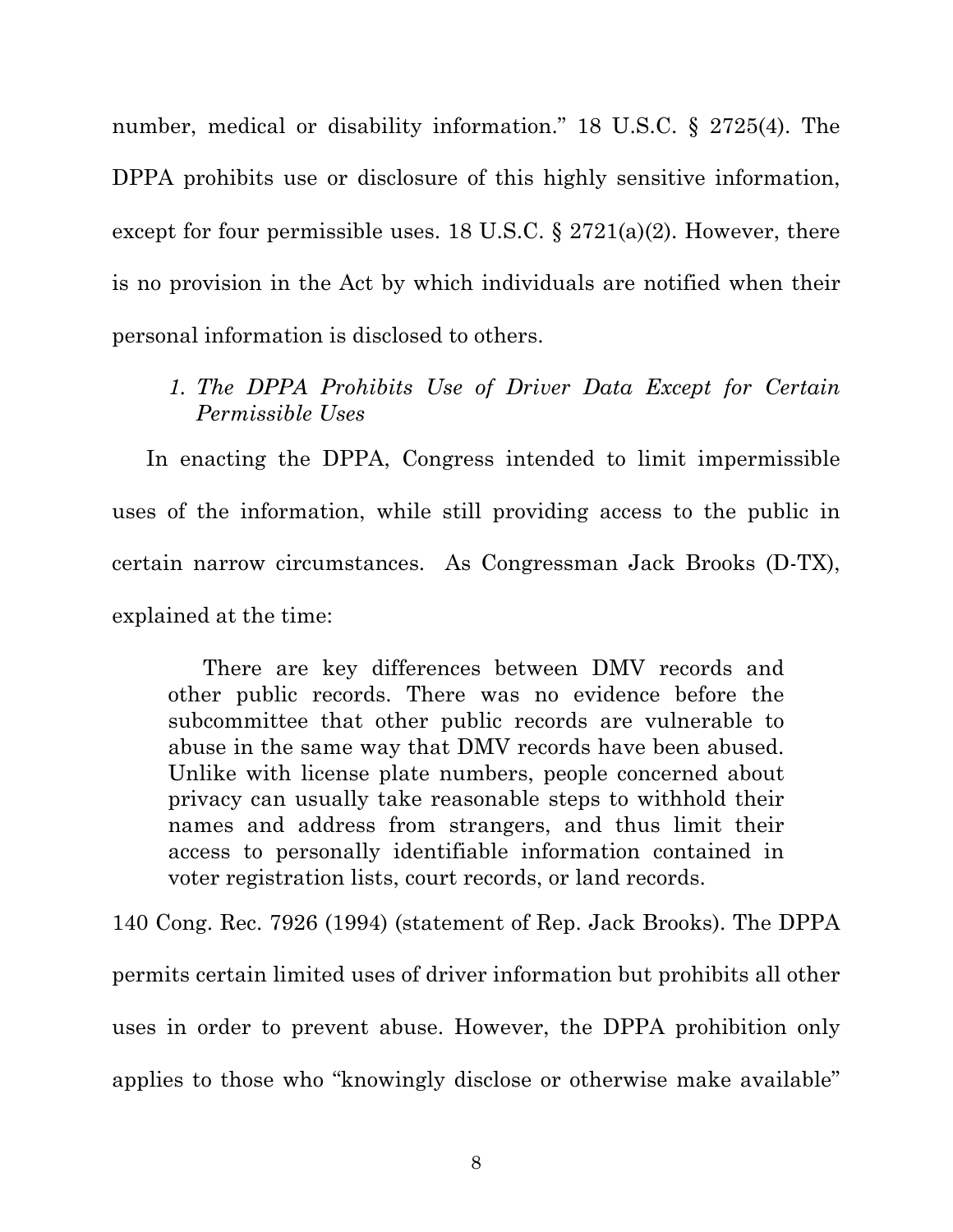number, medical or disability information." 18 U.S.C. § 2725(4). The DPPA prohibits use or disclosure of this highly sensitive information, except for four permissible uses. 18 U.S.C.  $\S 2721(a)(2)$ . However, there is no provision in the Act by which individuals are notified when their personal information is disclosed to others.

*1. The DPPA Prohibits Use of Driver Data Except for Certain Permissible Uses*

In enacting the DPPA, Congress intended to limit impermissible uses of the information, while still providing access to the public in certain narrow circumstances. As Congressman Jack Brooks (D-TX), explained at the time:

There are key differences between DMV records and other public records. There was no evidence before the subcommittee that other public records are vulnerable to abuse in the same way that DMV records have been abused. Unlike with license plate numbers, people concerned about privacy can usually take reasonable steps to withhold their names and address from strangers, and thus limit their access to personally identifiable information contained in voter registration lists, court records, or land records.

140 Cong. Rec. 7926 (1994) (statement of Rep. Jack Brooks). The DPPA permits certain limited uses of driver information but prohibits all other uses in order to prevent abuse. However, the DPPA prohibition only applies to those who "knowingly disclose or otherwise make available"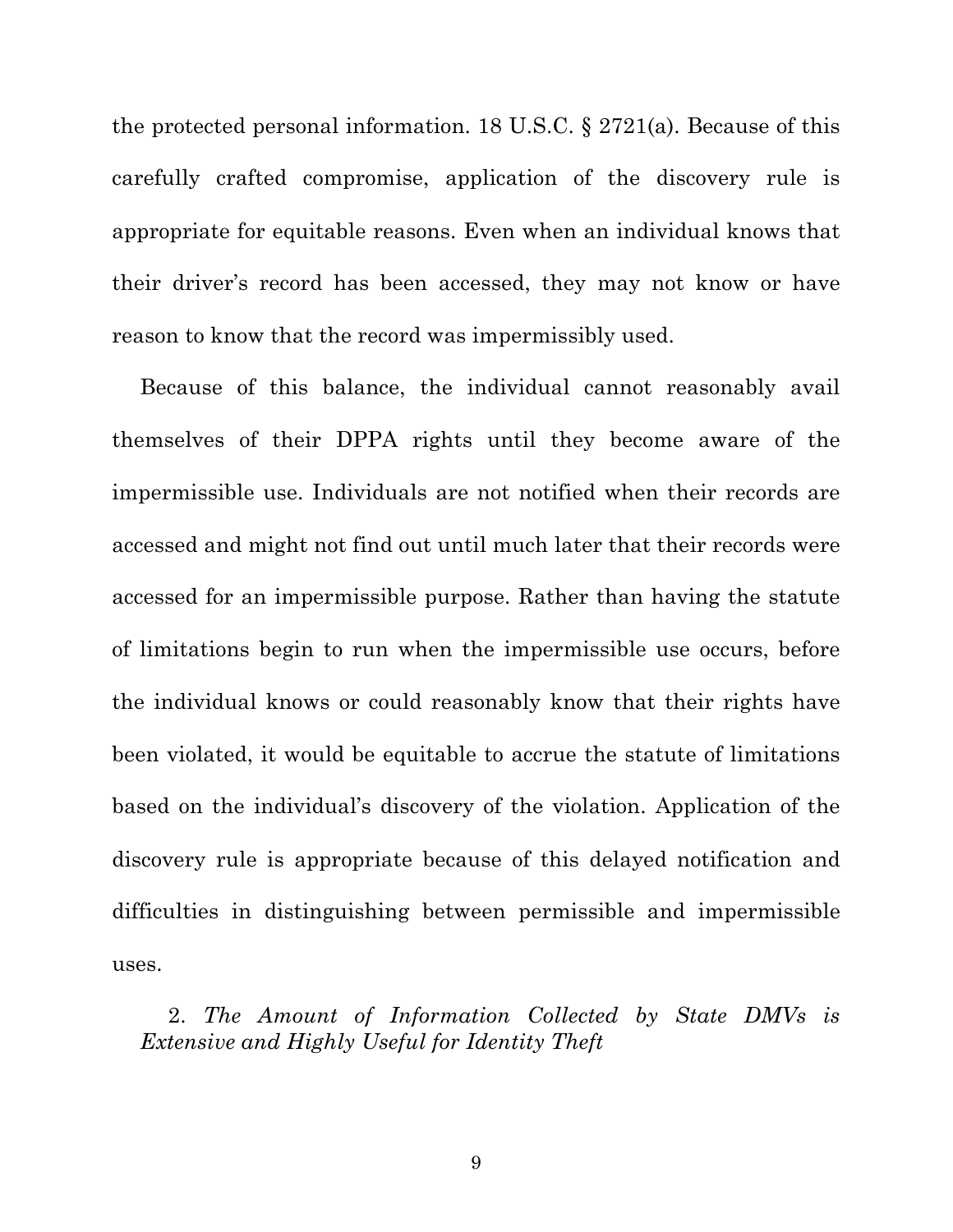the protected personal information. 18 U.S.C. § 2721(a). Because of this carefully crafted compromise, application of the discovery rule is appropriate for equitable reasons. Even when an individual knows that their driver's record has been accessed, they may not know or have reason to know that the record was impermissibly used.

Because of this balance, the individual cannot reasonably avail themselves of their DPPA rights until they become aware of the impermissible use. Individuals are not notified when their records are accessed and might not find out until much later that their records were accessed for an impermissible purpose. Rather than having the statute of limitations begin to run when the impermissible use occurs, before the individual knows or could reasonably know that their rights have been violated, it would be equitable to accrue the statute of limitations based on the individual's discovery of the violation. Application of the discovery rule is appropriate because of this delayed notification and difficulties in distinguishing between permissible and impermissible uses.

2. *The Amount of Information Collected by State DMVs is Extensive and Highly Useful for Identity Theft*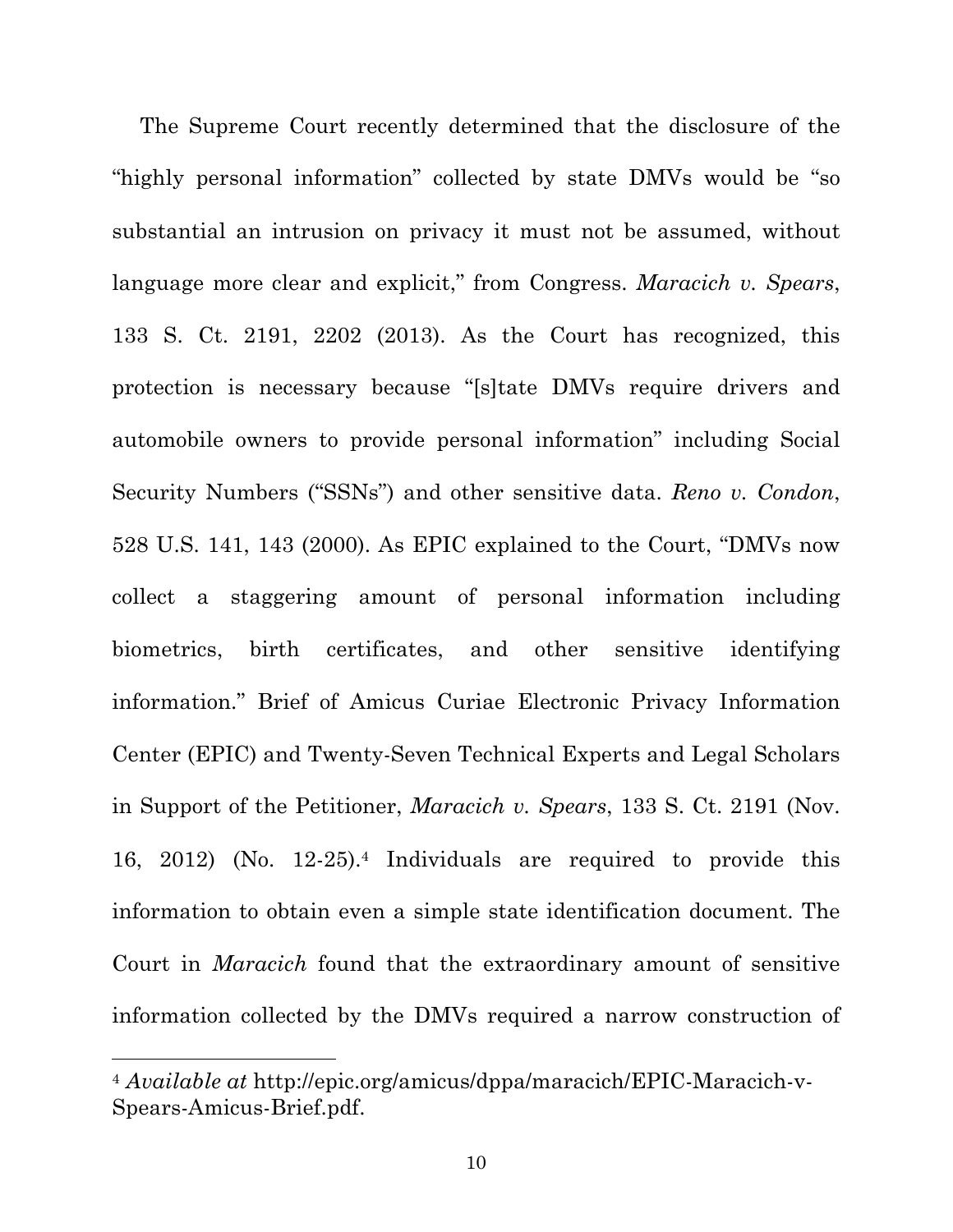The Supreme Court recently determined that the disclosure of the "highly personal information" collected by state DMVs would be "so substantial an intrusion on privacy it must not be assumed, without language more clear and explicit," from Congress. *Maracich v. Spears*, 133 S. Ct. 2191, 2202 (2013). As the Court has recognized, this protection is necessary because "[s]tate DMVs require drivers and automobile owners to provide personal information" including Social Security Numbers ("SSNs") and other sensitive data. *Reno v. Condon*, 528 U.S. 141, 143 (2000). As EPIC explained to the Court, "DMVs now collect a staggering amount of personal information including biometrics, birth certificates, and other sensitive identifying information." Brief of Amicus Curiae Electronic Privacy Information Center (EPIC) and Twenty-Seven Technical Experts and Legal Scholars in Support of the Petitioner, *Maracich v. Spears*, 133 S. Ct. 2191 (Nov. 16, 2012) (No. 12-25).4 Individuals are required to provide this information to obtain even a simple state identification document. The Court in *Maracich* found that the extraordinary amount of sensitive information collected by the DMVs required a narrow construction of

<sup>4</sup> *Available at* http://epic.org/amicus/dppa/maracich/EPIC-Maracich-v-Spears-Amicus-Brief.pdf.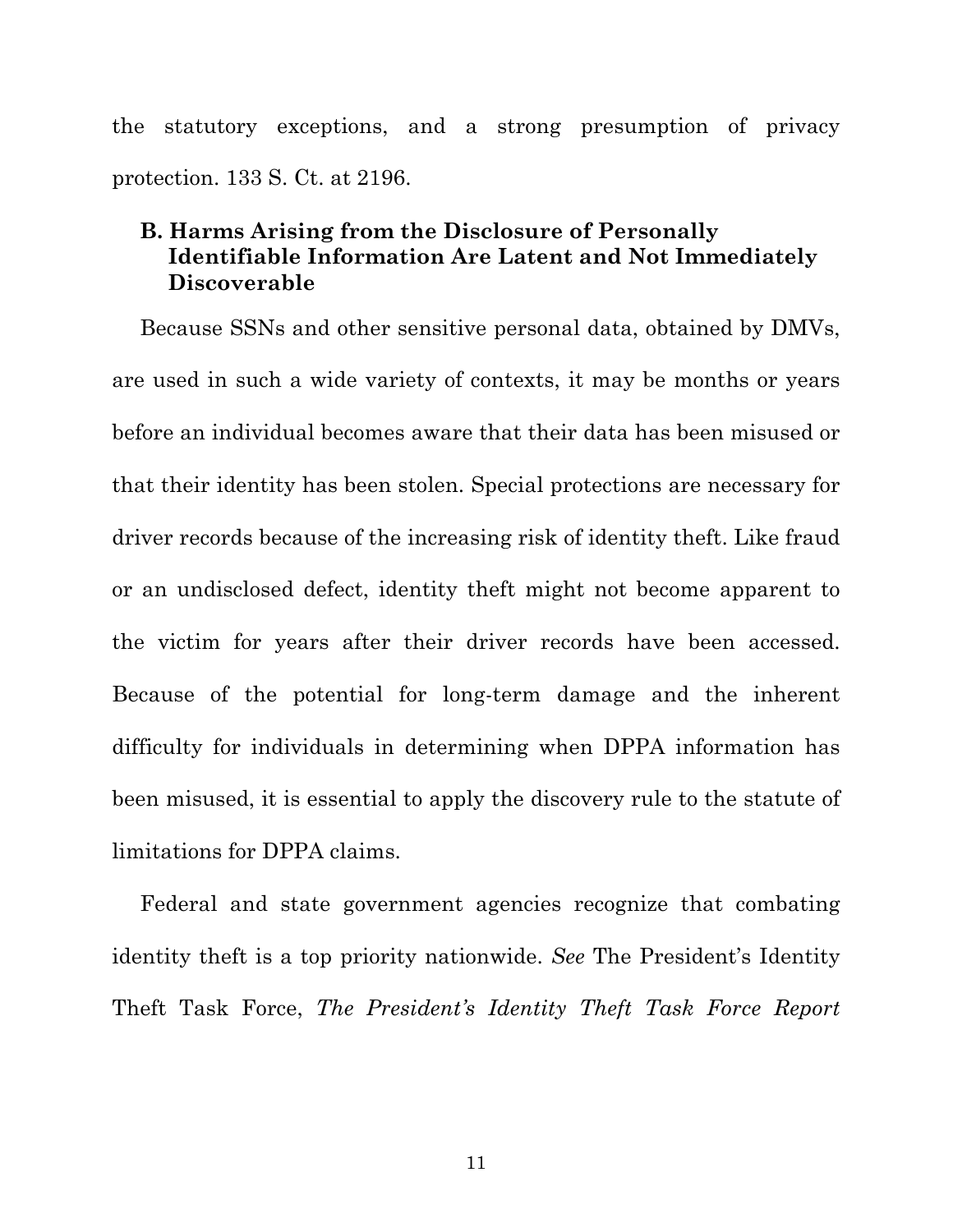the statutory exceptions, and a strong presumption of privacy protection. 133 S. Ct. at 2196.

### **B. Harms Arising from the Disclosure of Personally Identifiable Information Are Latent and Not Immediately Discoverable**

Because SSNs and other sensitive personal data, obtained by DMVs, are used in such a wide variety of contexts, it may be months or years before an individual becomes aware that their data has been misused or that their identity has been stolen. Special protections are necessary for driver records because of the increasing risk of identity theft. Like fraud or an undisclosed defect, identity theft might not become apparent to the victim for years after their driver records have been accessed. Because of the potential for long-term damage and the inherent difficulty for individuals in determining when DPPA information has been misused, it is essential to apply the discovery rule to the statute of limitations for DPPA claims.

Federal and state government agencies recognize that combating identity theft is a top priority nationwide. *See* The President's Identity Theft Task Force, *The President's Identity Theft Task Force Report*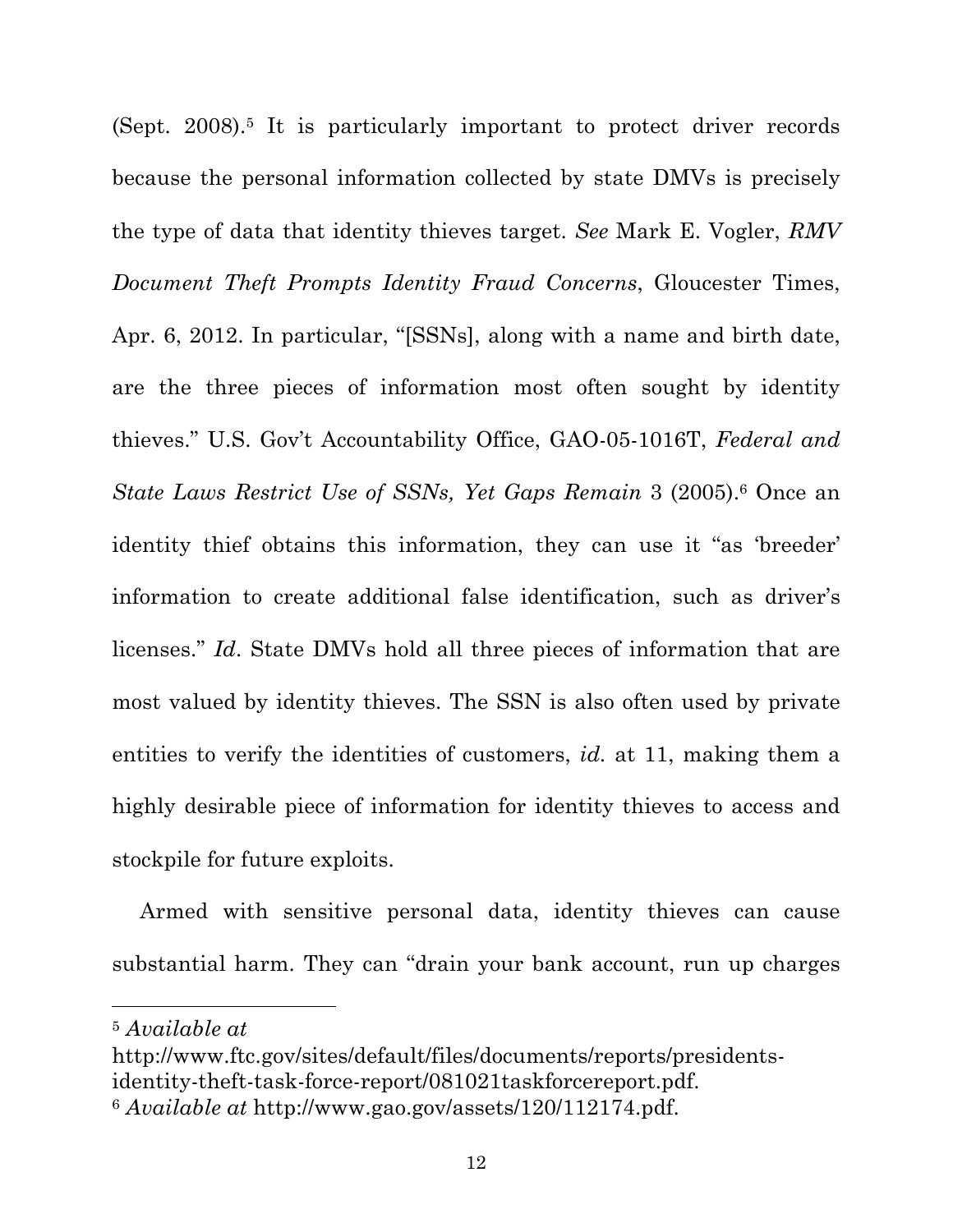(Sept. 2008).5 It is particularly important to protect driver records because the personal information collected by state DMVs is precisely the type of data that identity thieves target. *See* Mark E. Vogler, *RMV Document Theft Prompts Identity Fraud Concerns*, Gloucester Times, Apr. 6, 2012. In particular, "[SSNs], along with a name and birth date, are the three pieces of information most often sought by identity thieves." U.S. Gov't Accountability Office, GAO-05-1016T, *Federal and State Laws Restrict Use of SSNs, Yet Gaps Remain* 3 (2005).6 Once an identity thief obtains this information, they can use it "as 'breeder' information to create additional false identification, such as driver's licenses." *Id*. State DMVs hold all three pieces of information that are most valued by identity thieves. The SSN is also often used by private entities to verify the identities of customers, *id.* at 11, making them a highly desirable piece of information for identity thieves to access and stockpile for future exploits.

Armed with sensitive personal data, identity thieves can cause substantial harm. They can "drain your bank account, run up charges

<sup>5</sup> *Available at* 

http://www.ftc.gov/sites/default/files/documents/reports/presidentsidentity-theft-task-force-report/081021taskforcereport.pdf.

<sup>6</sup> *Available at* http://www.gao.gov/assets/120/112174.pdf.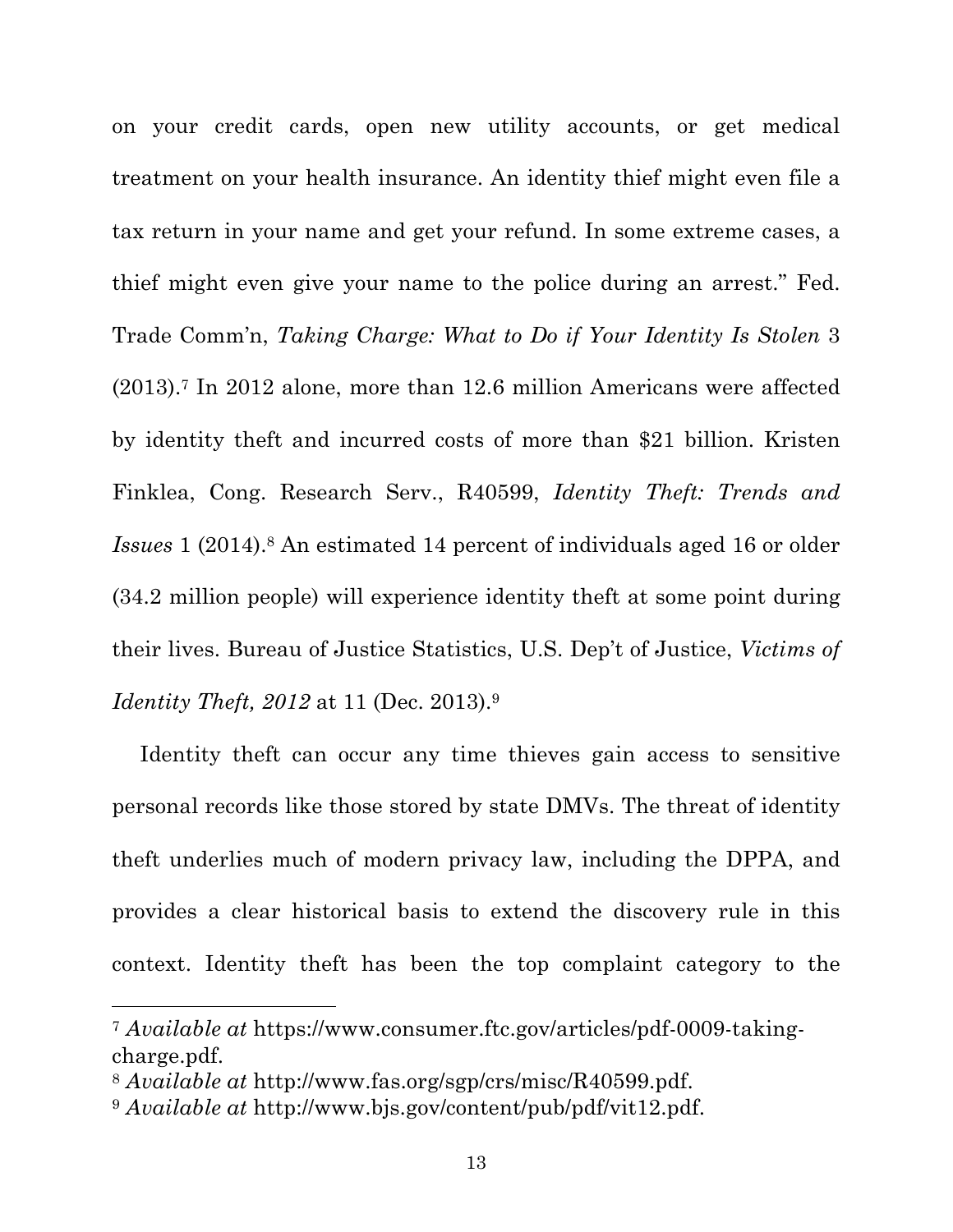on your credit cards, open new utility accounts, or get medical treatment on your health insurance. An identity thief might even file a tax return in your name and get your refund. In some extreme cases, a thief might even give your name to the police during an arrest." Fed. Trade Comm'n, *Taking Charge: What to Do if Your Identity Is Stolen* 3 (2013).7 In 2012 alone, more than 12.6 million Americans were affected by identity theft and incurred costs of more than \$21 billion. Kristen Finklea, Cong. Research Serv., R40599, *Identity Theft: Trends and Issues* 1 (2014).8 An estimated 14 percent of individuals aged 16 or older (34.2 million people) will experience identity theft at some point during their lives. Bureau of Justice Statistics, U.S. Dep't of Justice, *Victims of Identity Theft, 2012* at 11 (Dec. 2013).9

Identity theft can occur any time thieves gain access to sensitive personal records like those stored by state DMVs. The threat of identity theft underlies much of modern privacy law, including the DPPA, and provides a clear historical basis to extend the discovery rule in this context. Identity theft has been the top complaint category to the

<sup>7</sup> *Available at* https://www.consumer.ftc.gov/articles/pdf-0009-takingcharge.pdf.

<sup>8</sup> *Available at* http://www.fas.org/sgp/crs/misc/R40599.pdf.

<sup>9</sup> *Available at* http://www.bjs.gov/content/pub/pdf/vit12.pdf.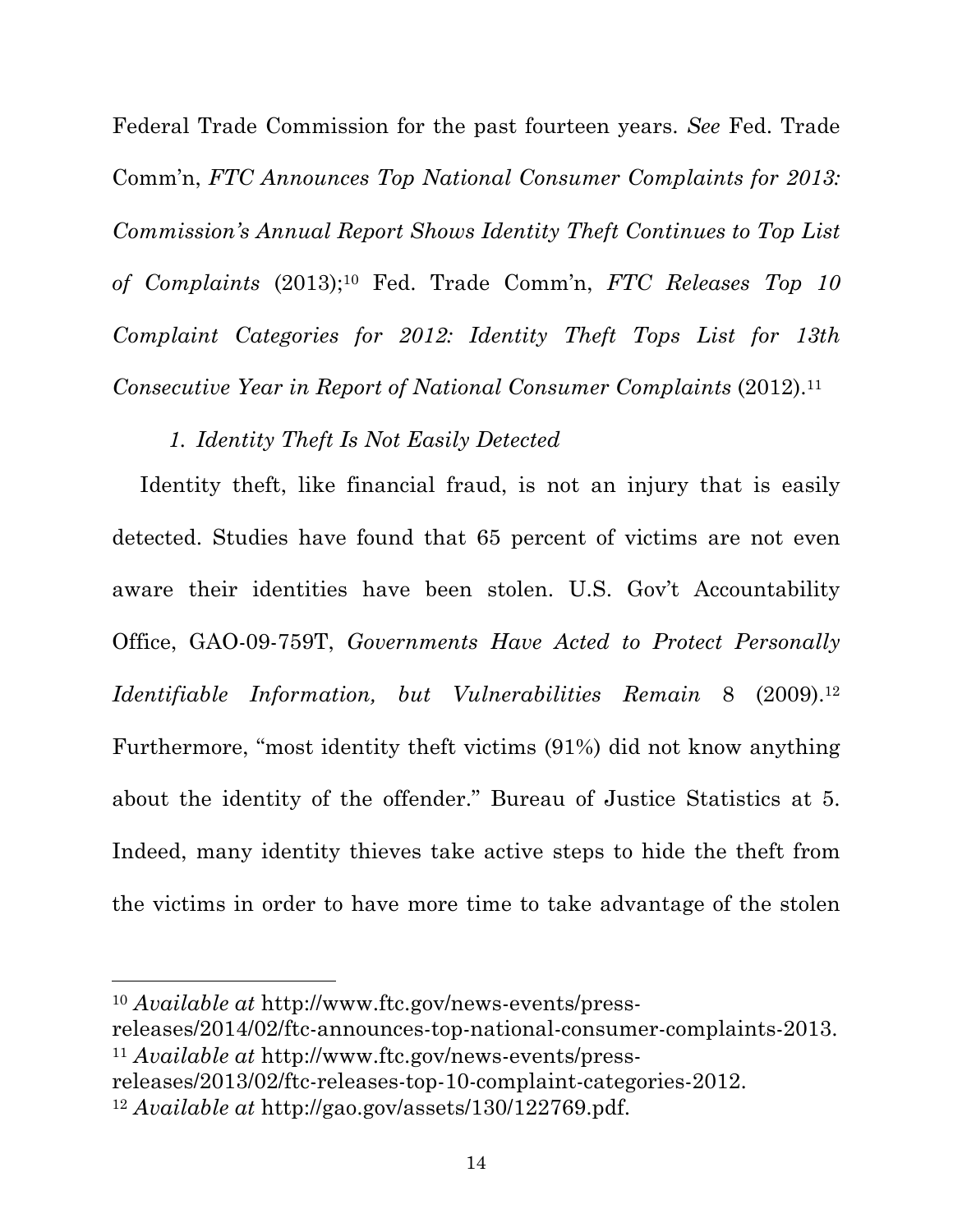Federal Trade Commission for the past fourteen years. *See* Fed. Trade Comm'n, *FTC Announces Top National Consumer Complaints for 2013: Commission's Annual Report Shows Identity Theft Continues to Top List of Complaints* (2013);10 Fed. Trade Comm'n, *FTC Releases Top 10 Complaint Categories for 2012: Identity Theft Tops List for 13th Consecutive Year in Report of National Consumer Complaints* (2012).11

## *1. Identity Theft Is Not Easily Detected*

Identity theft, like financial fraud, is not an injury that is easily detected. Studies have found that 65 percent of victims are not even aware their identities have been stolen. U.S. Gov't Accountability Office, GAO-09-759T, *Governments Have Acted to Protect Personally Identifiable Information, but Vulnerabilities Remain* 8 (2009).12 Furthermore, "most identity theft victims (91%) did not know anything about the identity of the offender." Bureau of Justice Statistics at 5. Indeed, many identity thieves take active steps to hide the theft from the victims in order to have more time to take advantage of the stolen

<sup>10</sup> *Available at* http://www.ftc.gov/news-events/press-

releases/2014/02/ftc-announces-top-national-consumer-complaints-2013. <sup>11</sup> *Available at* http://www.ftc.gov/news-events/press-

releases/2013/02/ftc-releases-top-10-complaint-categories-2012.

<sup>12</sup> *Available at* http://gao.gov/assets/130/122769.pdf.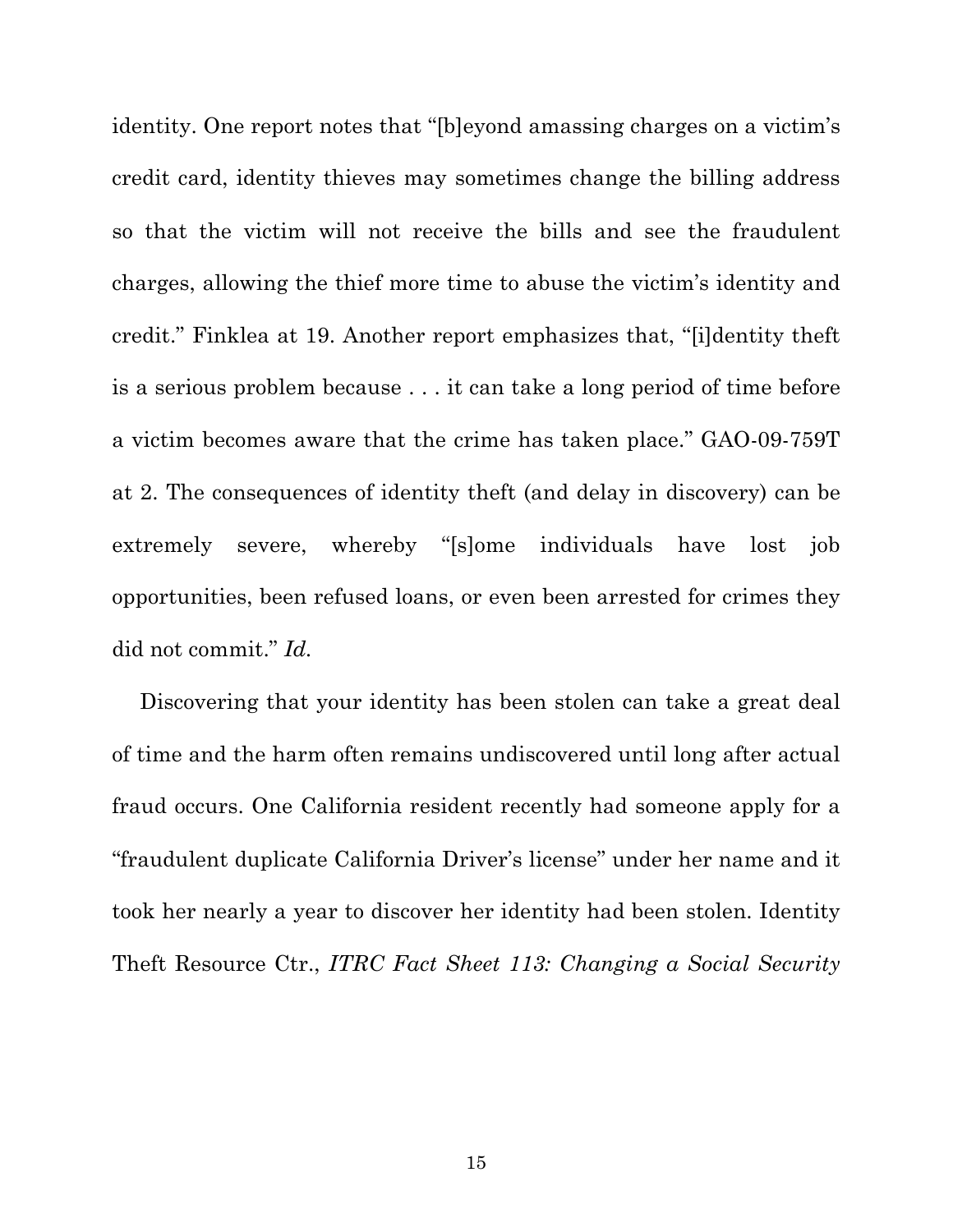identity. One report notes that "[b]eyond amassing charges on a victim's credit card, identity thieves may sometimes change the billing address so that the victim will not receive the bills and see the fraudulent charges, allowing the thief more time to abuse the victim's identity and credit." Finklea at 19. Another report emphasizes that, "[i]dentity theft is a serious problem because . . . it can take a long period of time before a victim becomes aware that the crime has taken place." GAO-09-759T at 2. The consequences of identity theft (and delay in discovery) can be extremely severe, whereby "[s]ome individuals have lost job opportunities, been refused loans, or even been arrested for crimes they did not commit." *Id.*

Discovering that your identity has been stolen can take a great deal of time and the harm often remains undiscovered until long after actual fraud occurs. One California resident recently had someone apply for a "fraudulent duplicate California Driver's license" under her name and it took her nearly a year to discover her identity had been stolen. Identity Theft Resource Ctr., *ITRC Fact Sheet 113: Changing a Social Security*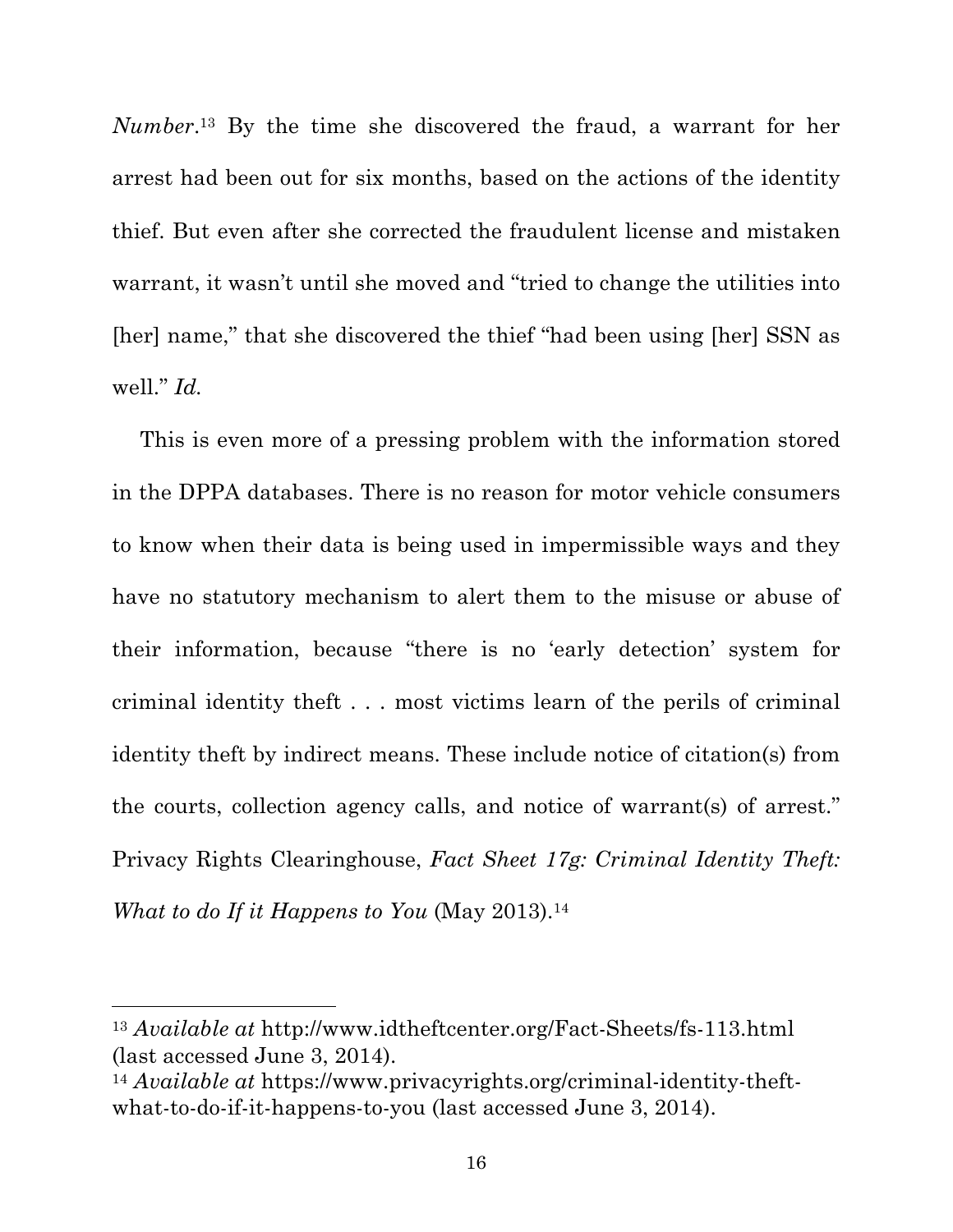*Number*.13 By the time she discovered the fraud, a warrant for her arrest had been out for six months, based on the actions of the identity thief. But even after she corrected the fraudulent license and mistaken warrant, it wasn't until she moved and "tried to change the utilities into [her] name," that she discovered the thief "had been using [her] SSN as well." *Id.*

This is even more of a pressing problem with the information stored in the DPPA databases. There is no reason for motor vehicle consumers to know when their data is being used in impermissible ways and they have no statutory mechanism to alert them to the misuse or abuse of their information, because "there is no 'early detection' system for criminal identity theft . . . most victims learn of the perils of criminal identity theft by indirect means. These include notice of citation(s) from the courts, collection agency calls, and notice of warrant(s) of arrest." Privacy Rights Clearinghouse, *Fact Sheet 17g: Criminal Identity Theft: What to do If it Happens to You* (May 2013).14

<sup>13</sup> *Available at* http://www.idtheftcenter.org/Fact-Sheets/fs-113.html (last accessed June 3, 2014).

<sup>14</sup> *Available at* https://www.privacyrights.org/criminal-identity-theftwhat-to-do-if-it-happens-to-you (last accessed June 3, 2014).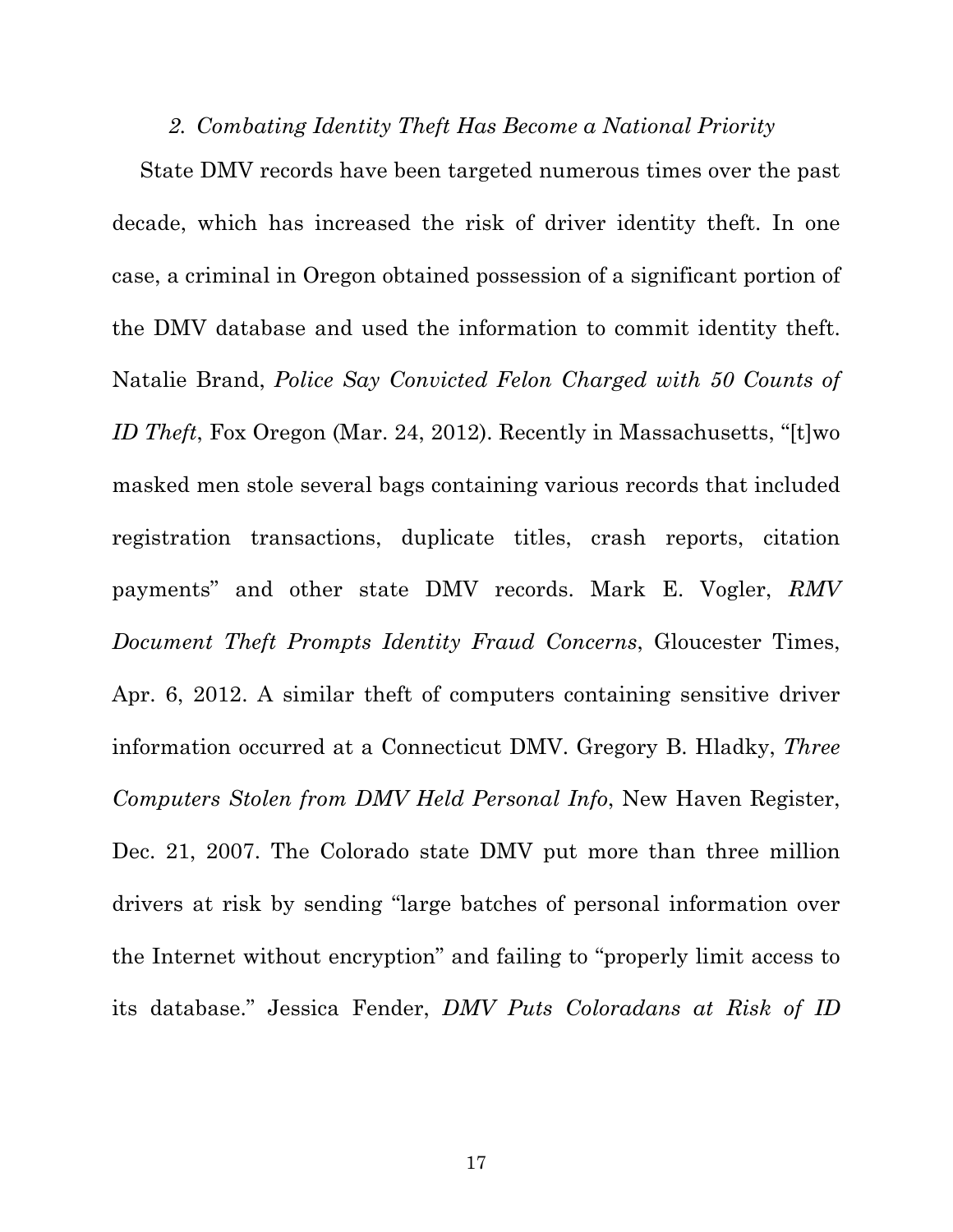#### *2. Combating Identity Theft Has Become a National Priority*

State DMV records have been targeted numerous times over the past decade, which has increased the risk of driver identity theft. In one case, a criminal in Oregon obtained possession of a significant portion of the DMV database and used the information to commit identity theft. Natalie Brand, *Police Say Convicted Felon Charged with 50 Counts of ID Theft*, Fox Oregon (Mar. 24, 2012). Recently in Massachusetts, "[t]wo masked men stole several bags containing various records that included registration transactions, duplicate titles, crash reports, citation payments" and other state DMV records. Mark E. Vogler, *RMV Document Theft Prompts Identity Fraud Concerns*, Gloucester Times, Apr. 6, 2012. A similar theft of computers containing sensitive driver information occurred at a Connecticut DMV. Gregory B. Hladky, *Three Computers Stolen from DMV Held Personal Info*, New Haven Register, Dec. 21, 2007. The Colorado state DMV put more than three million drivers at risk by sending "large batches of personal information over the Internet without encryption" and failing to "properly limit access to its database." Jessica Fender, *DMV Puts Coloradans at Risk of ID*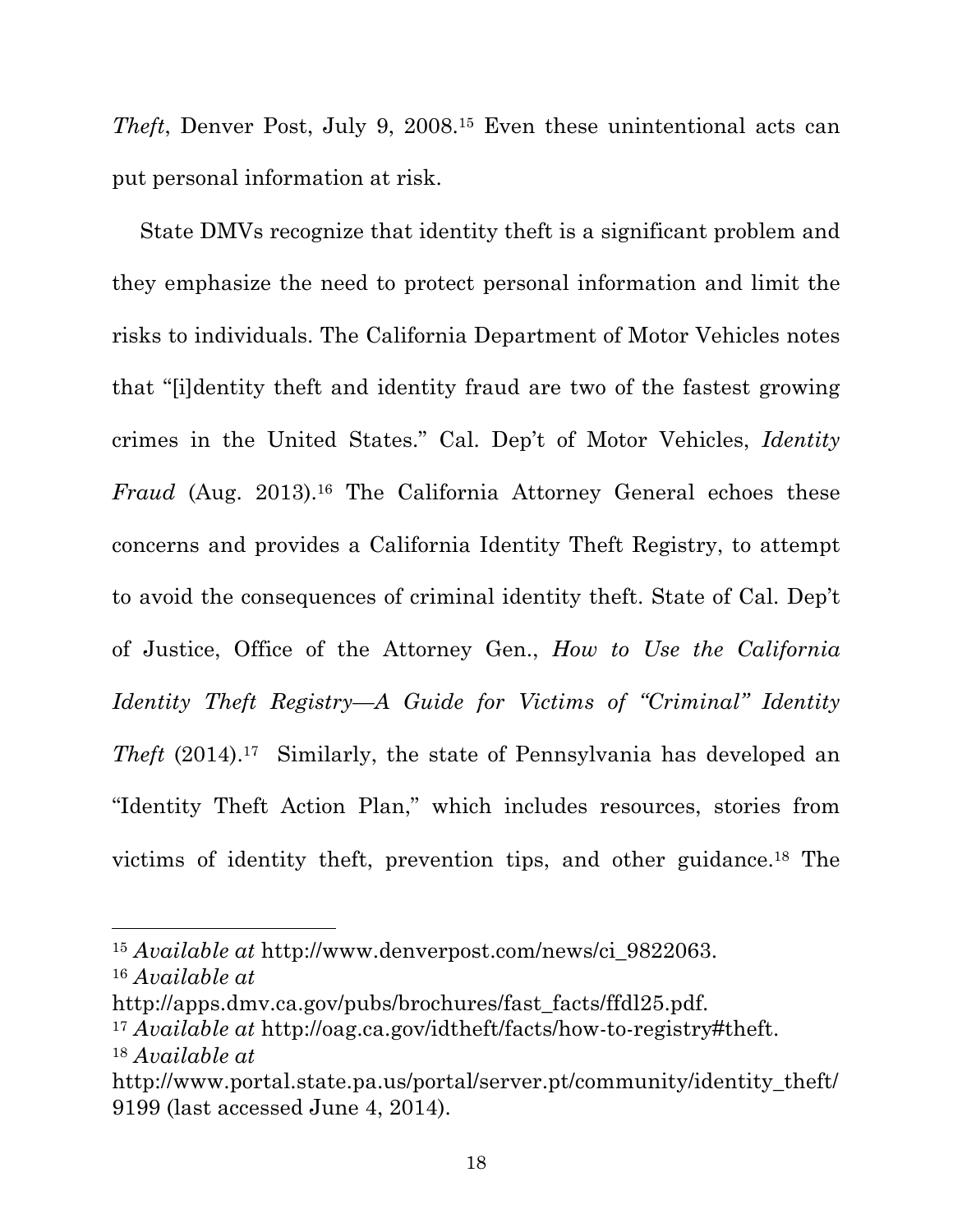*Theft*, Denver Post, July 9, 2008.15 Even these unintentional acts can put personal information at risk.

State DMVs recognize that identity theft is a significant problem and they emphasize the need to protect personal information and limit the risks to individuals. The California Department of Motor Vehicles notes that "[i]dentity theft and identity fraud are two of the fastest growing crimes in the United States." Cal. Dep't of Motor Vehicles, *Identity Fraud* (Aug. 2013).<sup>16</sup> The California Attorney General echoes these concerns and provides a California Identity Theft Registry, to attempt to avoid the consequences of criminal identity theft. State of Cal. Dep't of Justice, Office of the Attorney Gen., *How to Use the California Identity Theft Registry—A Guide for Victims of "Criminal" Identity Theft* (2014).17 Similarly, the state of Pennsylvania has developed an "Identity Theft Action Plan," which includes resources, stories from victims of identity theft, prevention tips, and other guidance.18 The

<sup>15</sup> *Available at* http://www.denverpost.com/news/ci\_9822063. <sup>16</sup> *Available at*

http://apps.dmv.ca.gov/pubs/brochures/fast\_facts/ffdl25.pdf.

<sup>17</sup> *Available at* http://oag.ca.gov/idtheft/facts/how-to-registry#theft. <sup>18</sup> *Available at* 

http://www.portal.state.pa.us/portal/server.pt/community/identity\_theft/ 9199 (last accessed June 4, 2014).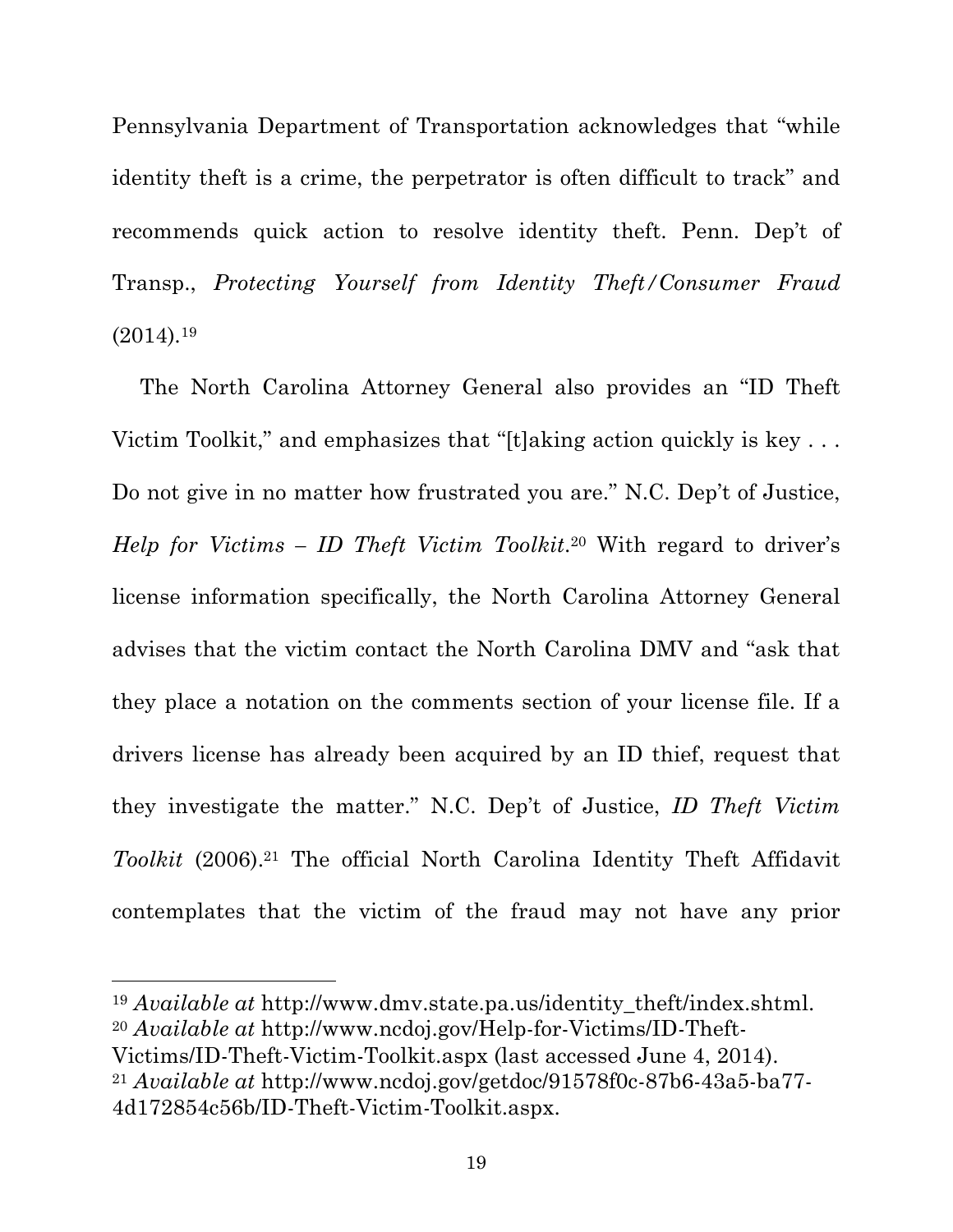Pennsylvania Department of Transportation acknowledges that "while identity theft is a crime, the perpetrator is often difficult to track" and recommends quick action to resolve identity theft. Penn. Dep't of Transp., *Protecting Yourself from Identity Theft/Consumer Fraud* (2014)*.*<sup>19</sup>

The North Carolina Attorney General also provides an "ID Theft Victim Toolkit," and emphasizes that "[t]aking action quickly is key . . . Do not give in no matter how frustrated you are." N.C. Dep't of Justice, *Help for Victims – ID Theft Victim Toolkit*.20 With regard to driver's license information specifically, the North Carolina Attorney General advises that the victim contact the North Carolina DMV and "ask that they place a notation on the comments section of your license file. If a drivers license has already been acquired by an ID thief, request that they investigate the matter." N.C. Dep't of Justice, *ID Theft Victim Toolkit* (2006).21 The official North Carolina Identity Theft Affidavit contemplates that the victim of the fraud may not have any prior

<sup>19</sup> *Available at* http://www.dmv.state.pa.us/identity theft/index.shtml. <sup>20</sup> *Available at* http://www.ncdoj.gov/Help-for-Victims/ID-Theft-Victims/ID-Theft-Victim-Toolkit.aspx (last accessed June 4, 2014). <sup>21</sup> *Available at* http://www.ncdoj.gov/getdoc/91578f0c-87b6-43a5-ba77- 4d172854c56b/ID-Theft-Victim-Toolkit.aspx.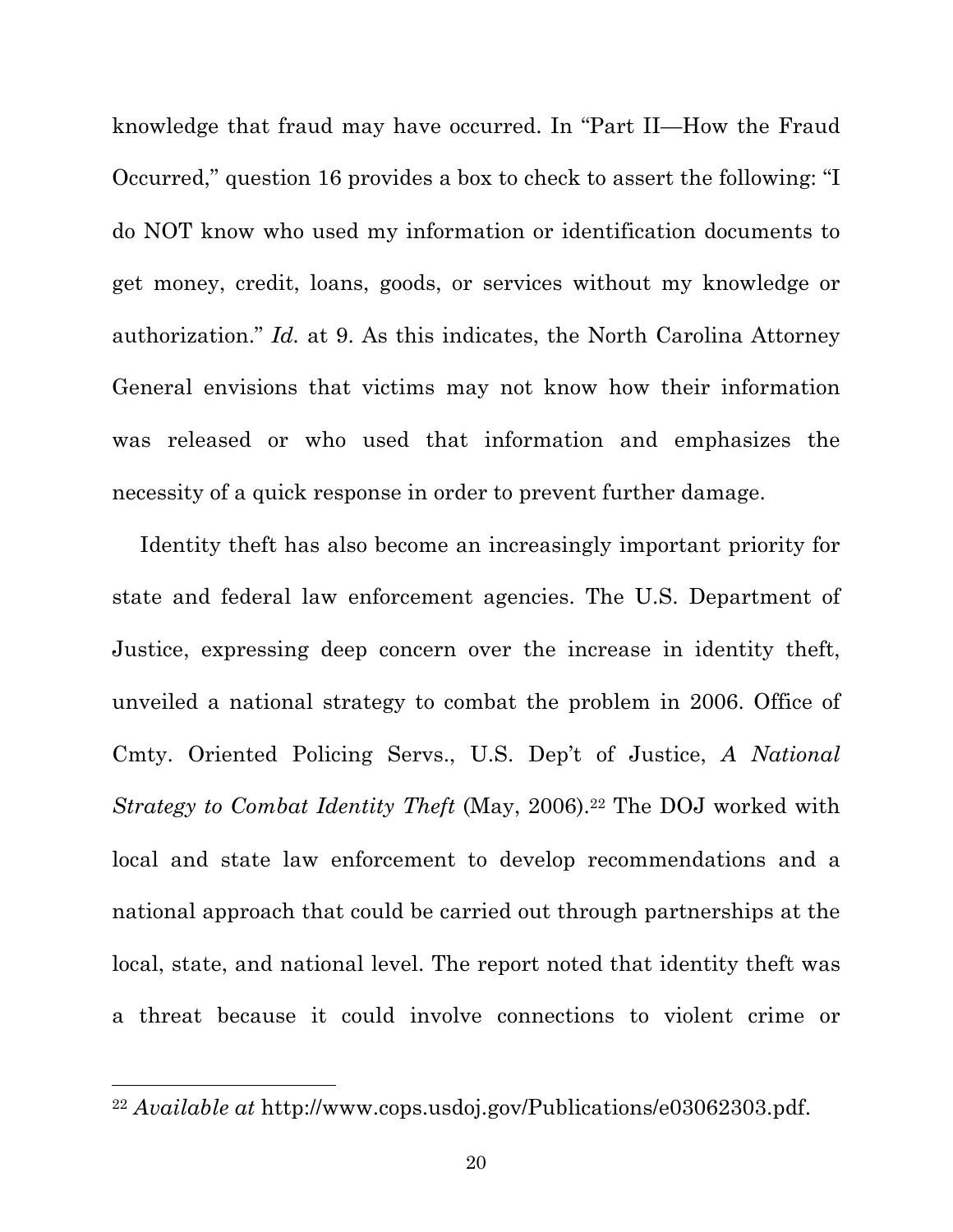knowledge that fraud may have occurred. In "Part II—How the Fraud Occurred," question 16 provides a box to check to assert the following: "I do NOT know who used my information or identification documents to get money, credit, loans, goods, or services without my knowledge or authorization." *Id.* at 9. As this indicates, the North Carolina Attorney General envisions that victims may not know how their information was released or who used that information and emphasizes the necessity of a quick response in order to prevent further damage.

Identity theft has also become an increasingly important priority for state and federal law enforcement agencies. The U.S. Department of Justice, expressing deep concern over the increase in identity theft, unveiled a national strategy to combat the problem in 2006. Office of Cmty. Oriented Policing Servs., U.S. Dep't of Justice, *A National Strategy to Combat Identity Theft* (May, 2006).<sup>22</sup> The DOJ worked with local and state law enforcement to develop recommendations and a national approach that could be carried out through partnerships at the local, state, and national level. The report noted that identity theft was a threat because it could involve connections to violent crime or

<sup>22</sup> *Available at* http://www.cops.usdoj.gov/Publications/e03062303.pdf.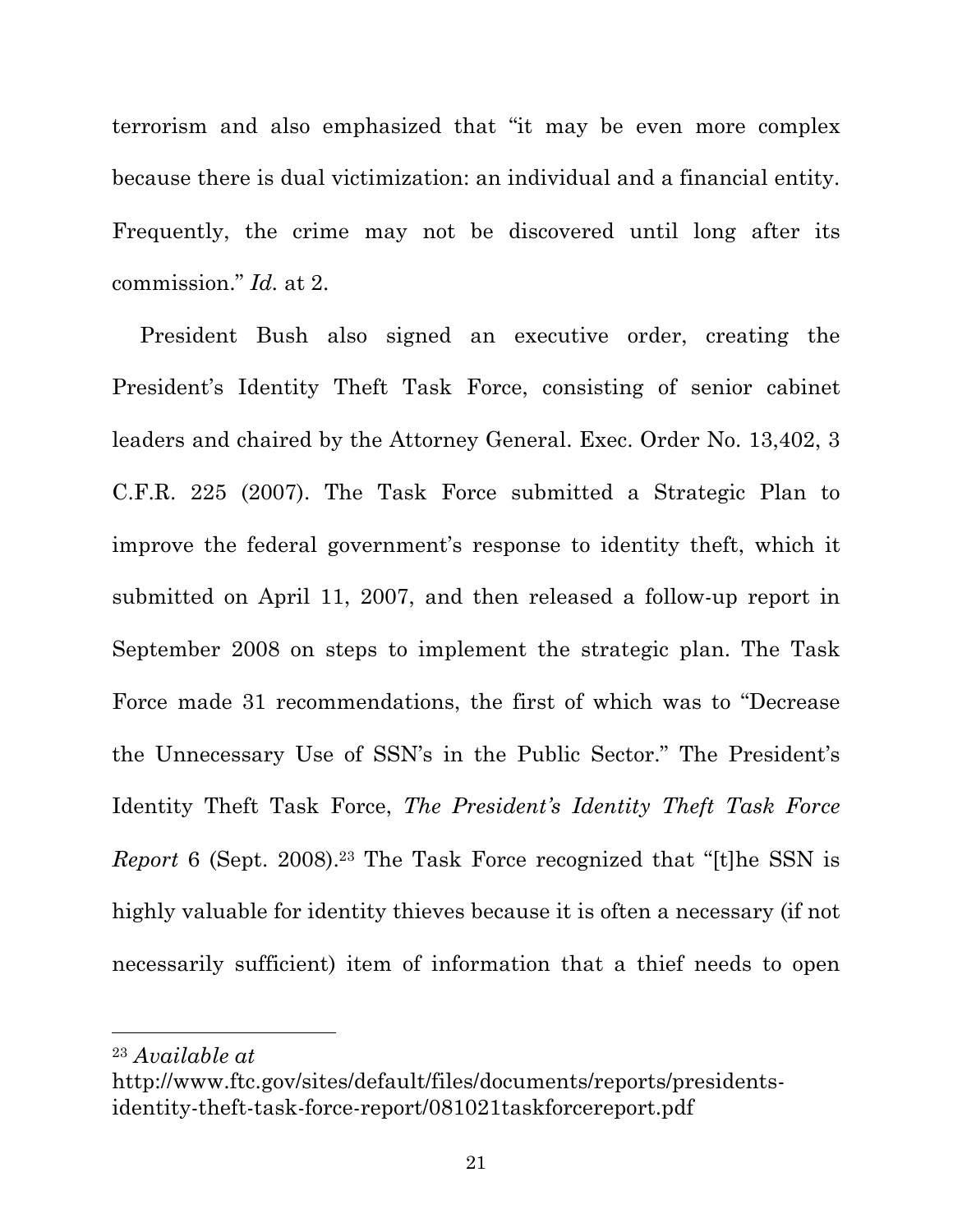terrorism and also emphasized that "it may be even more complex because there is dual victimization: an individual and a financial entity. Frequently, the crime may not be discovered until long after its commission." *Id.* at 2.

President Bush also signed an executive order, creating the President's Identity Theft Task Force, consisting of senior cabinet leaders and chaired by the Attorney General. Exec. Order No. 13,402, 3 C.F.R. 225 (2007). The Task Force submitted a Strategic Plan to improve the federal government's response to identity theft, which it submitted on April 11, 2007, and then released a follow-up report in September 2008 on steps to implement the strategic plan. The Task Force made 31 recommendations, the first of which was to "Decrease the Unnecessary Use of SSN's in the Public Sector." The President's Identity Theft Task Force, *The President's Identity Theft Task Force Report* 6 (Sept. 2008).<sup>23</sup> The Task Force recognized that "[t]he SSN is highly valuable for identity thieves because it is often a necessary (if not necessarily sufficient) item of information that a thief needs to open

<sup>23</sup> *Available at* 

http://www.ftc.gov/sites/default/files/documents/reports/presidentsidentity-theft-task-force-report/081021taskforcereport.pdf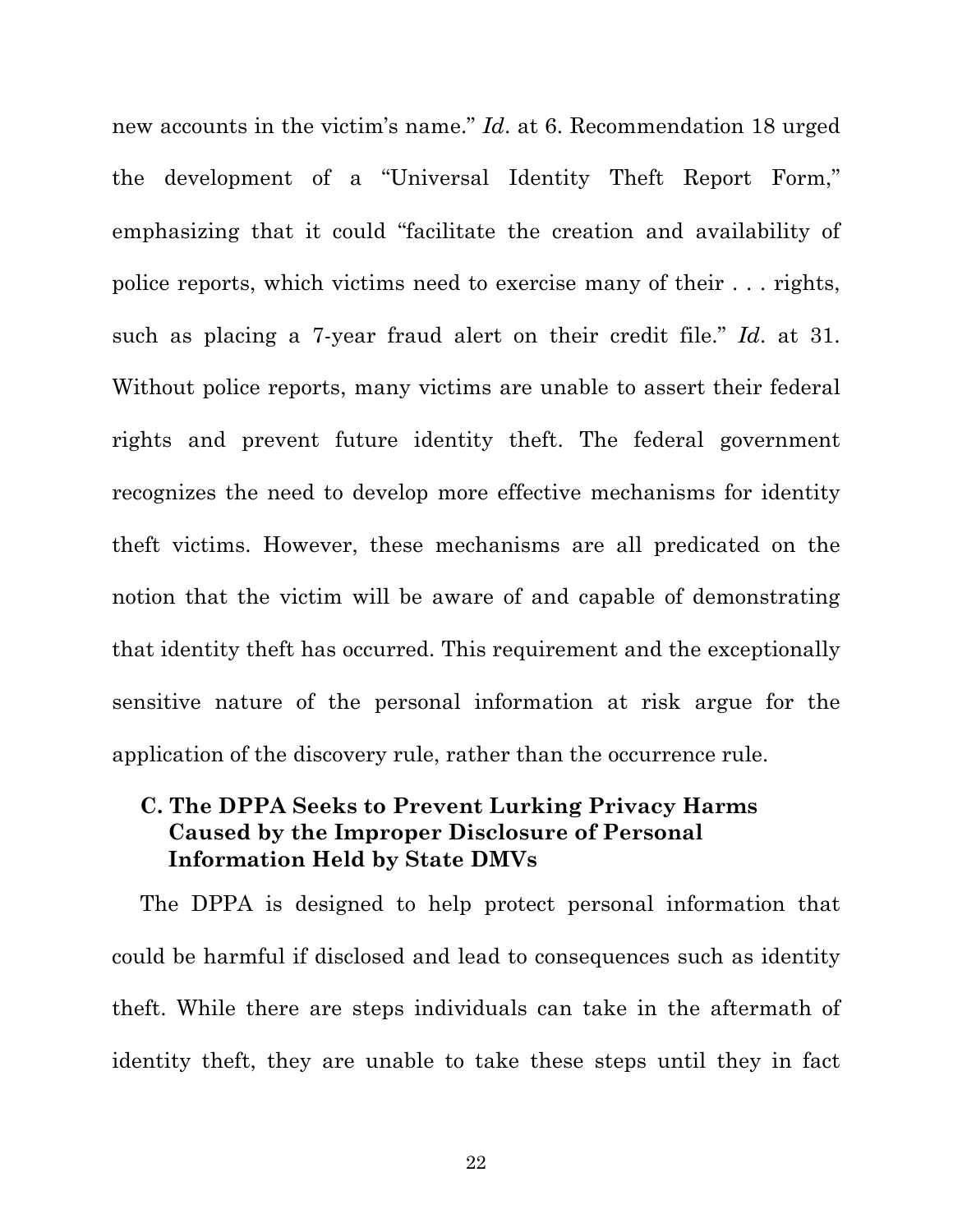new accounts in the victim's name." *Id*. at 6. Recommendation 18 urged the development of a "Universal Identity Theft Report Form," emphasizing that it could "facilitate the creation and availability of police reports, which victims need to exercise many of their . . . rights, such as placing a 7-year fraud alert on their credit file." *Id*. at 31. Without police reports, many victims are unable to assert their federal rights and prevent future identity theft. The federal government recognizes the need to develop more effective mechanisms for identity theft victims. However, these mechanisms are all predicated on the notion that the victim will be aware of and capable of demonstrating that identity theft has occurred. This requirement and the exceptionally sensitive nature of the personal information at risk argue for the application of the discovery rule, rather than the occurrence rule.

### **C. The DPPA Seeks to Prevent Lurking Privacy Harms Caused by the Improper Disclosure of Personal Information Held by State DMVs**

The DPPA is designed to help protect personal information that could be harmful if disclosed and lead to consequences such as identity theft. While there are steps individuals can take in the aftermath of identity theft, they are unable to take these steps until they in fact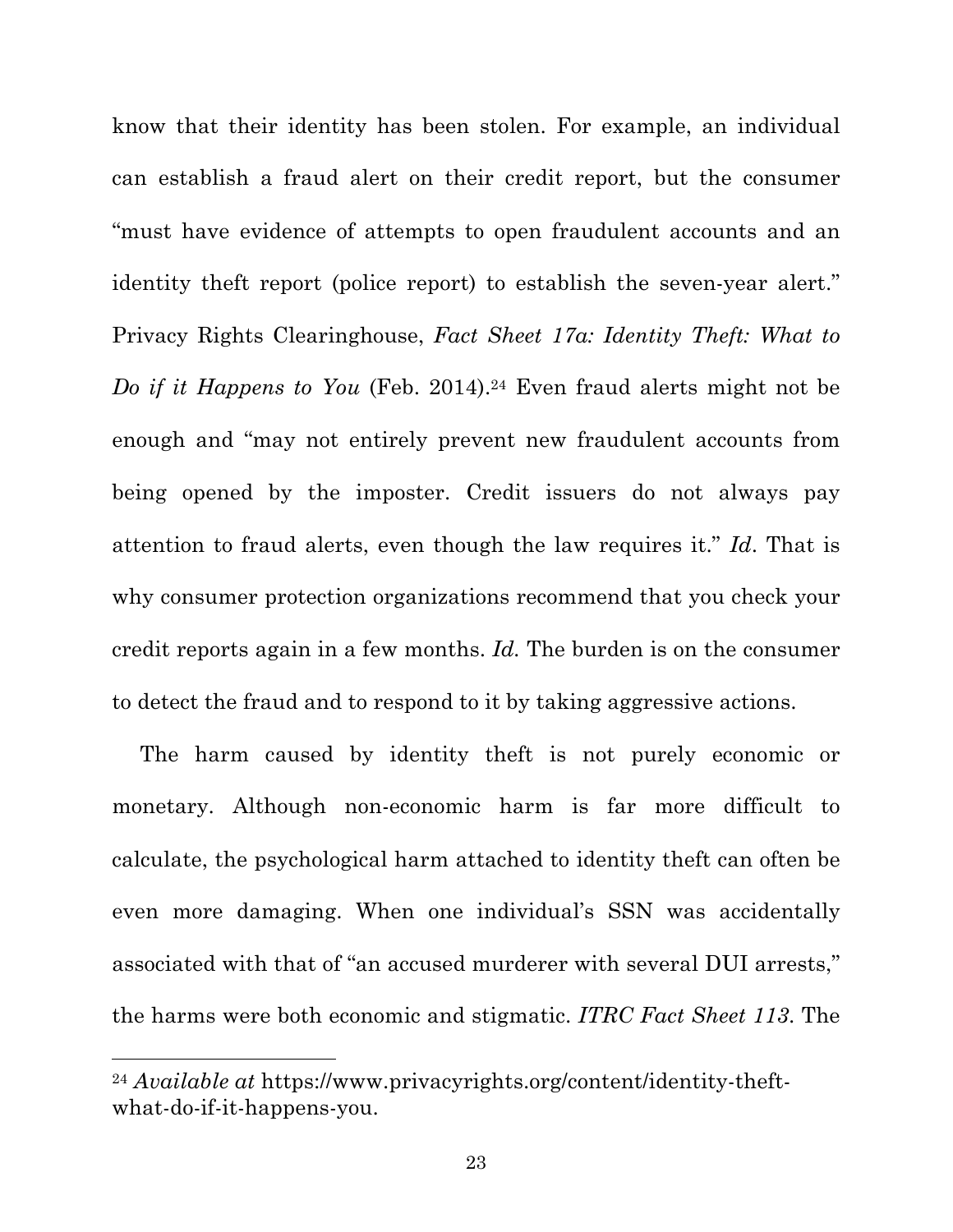know that their identity has been stolen. For example, an individual can establish a fraud alert on their credit report, but the consumer "must have evidence of attempts to open fraudulent accounts and an identity theft report (police report) to establish the seven-year alert." Privacy Rights Clearinghouse, *Fact Sheet 17a: Identity Theft: What to Do if it Happens to You* (Feb. 2014).<sup>24</sup> Even fraud alerts might not be enough and "may not entirely prevent new fraudulent accounts from being opened by the imposter. Credit issuers do not always pay attention to fraud alerts, even though the law requires it." *Id*. That is why consumer protection organizations recommend that you check your credit reports again in a few months. *Id.* The burden is on the consumer to detect the fraud and to respond to it by taking aggressive actions.

The harm caused by identity theft is not purely economic or monetary. Although non-economic harm is far more difficult to calculate, the psychological harm attached to identity theft can often be even more damaging. When one individual's SSN was accidentally associated with that of "an accused murderer with several DUI arrests," the harms were both economic and stigmatic. *ITRC Fact Sheet 113*. The

<sup>24</sup> *Available at* https://www.privacyrights.org/content/identity-theftwhat-do-if-it-happens-you.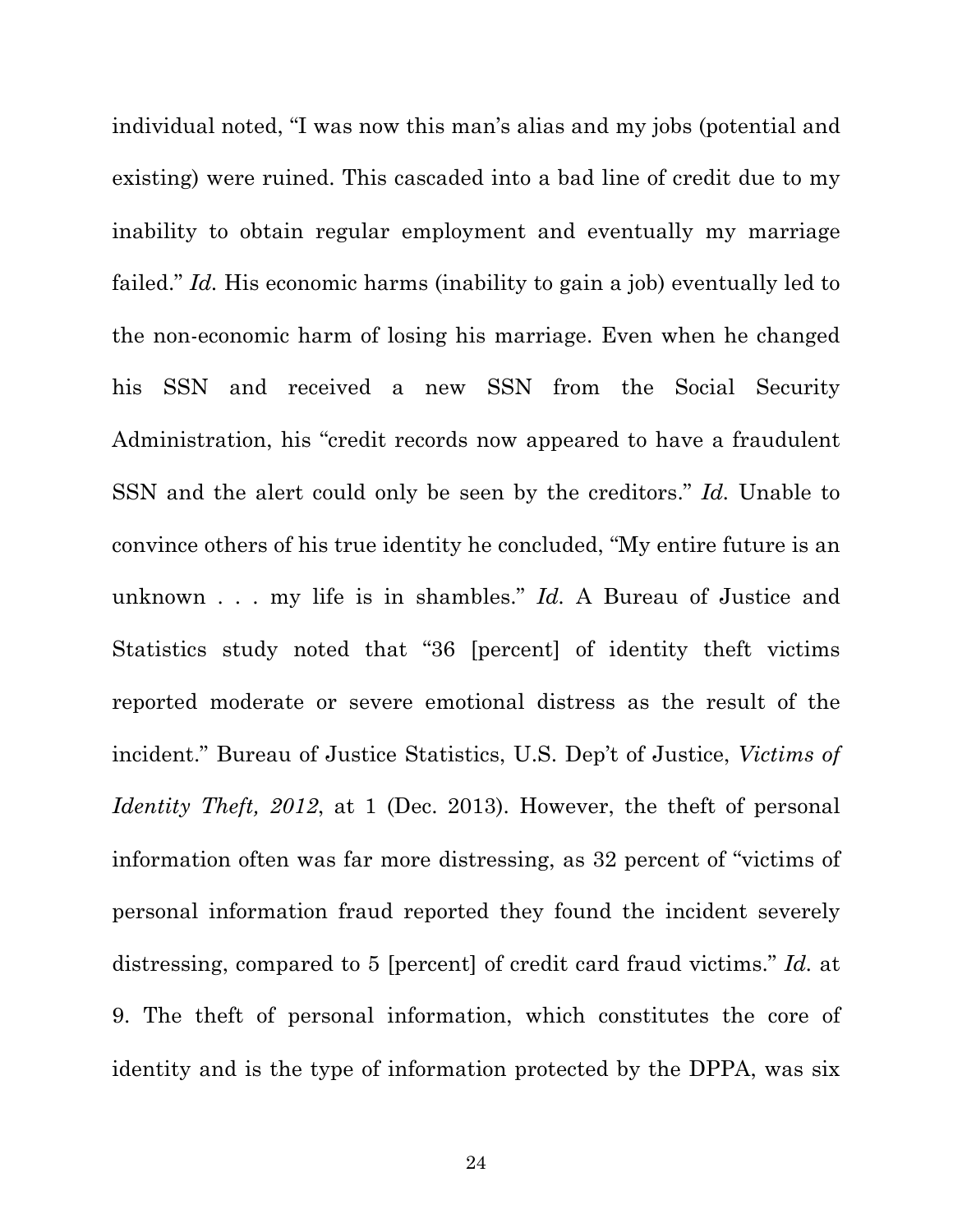individual noted, "I was now this man's alias and my jobs (potential and existing) were ruined. This cascaded into a bad line of credit due to my inability to obtain regular employment and eventually my marriage failed." *Id.* His economic harms (inability to gain a job) eventually led to the non-economic harm of losing his marriage. Even when he changed his SSN and received a new SSN from the Social Security Administration, his "credit records now appeared to have a fraudulent SSN and the alert could only be seen by the creditors." *Id.* Unable to convince others of his true identity he concluded, "My entire future is an unknown . . . my life is in shambles." *Id.* A Bureau of Justice and Statistics study noted that "36 [percent] of identity theft victims reported moderate or severe emotional distress as the result of the incident." Bureau of Justice Statistics, U.S. Dep't of Justice, *Victims of Identity Theft, 2012*, at 1 (Dec. 2013). However, the theft of personal information often was far more distressing, as 32 percent of "victims of personal information fraud reported they found the incident severely distressing, compared to 5 [percent] of credit card fraud victims." *Id.* at 9. The theft of personal information, which constitutes the core of identity and is the type of information protected by the DPPA, was six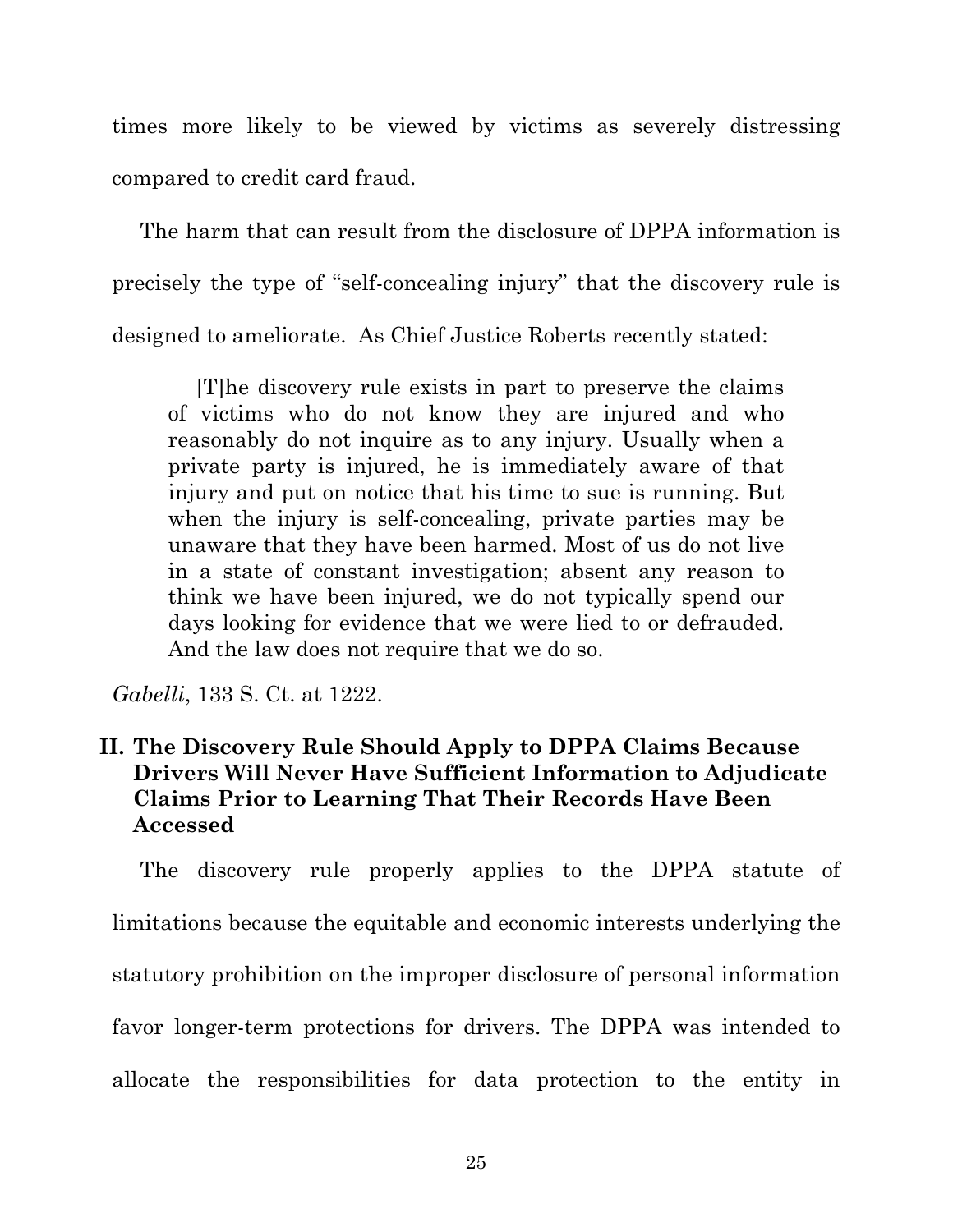times more likely to be viewed by victims as severely distressing compared to credit card fraud.

The harm that can result from the disclosure of DPPA information is precisely the type of "self-concealing injury" that the discovery rule is designed to ameliorate. As Chief Justice Roberts recently stated:

[T]he discovery rule exists in part to preserve the claims of victims who do not know they are injured and who reasonably do not inquire as to any injury. Usually when a private party is injured, he is immediately aware of that injury and put on notice that his time to sue is running. But when the injury is self-concealing, private parties may be unaware that they have been harmed. Most of us do not live in a state of constant investigation; absent any reason to think we have been injured, we do not typically spend our days looking for evidence that we were lied to or defrauded. And the law does not require that we do so.

*Gabelli*, 133 S. Ct. at 1222.

## **II. The Discovery Rule Should Apply to DPPA Claims Because Drivers Will Never Have Sufficient Information to Adjudicate Claims Prior to Learning That Their Records Have Been Accessed**

The discovery rule properly applies to the DPPA statute of limitations because the equitable and economic interests underlying the statutory prohibition on the improper disclosure of personal information favor longer-term protections for drivers. The DPPA was intended to allocate the responsibilities for data protection to the entity in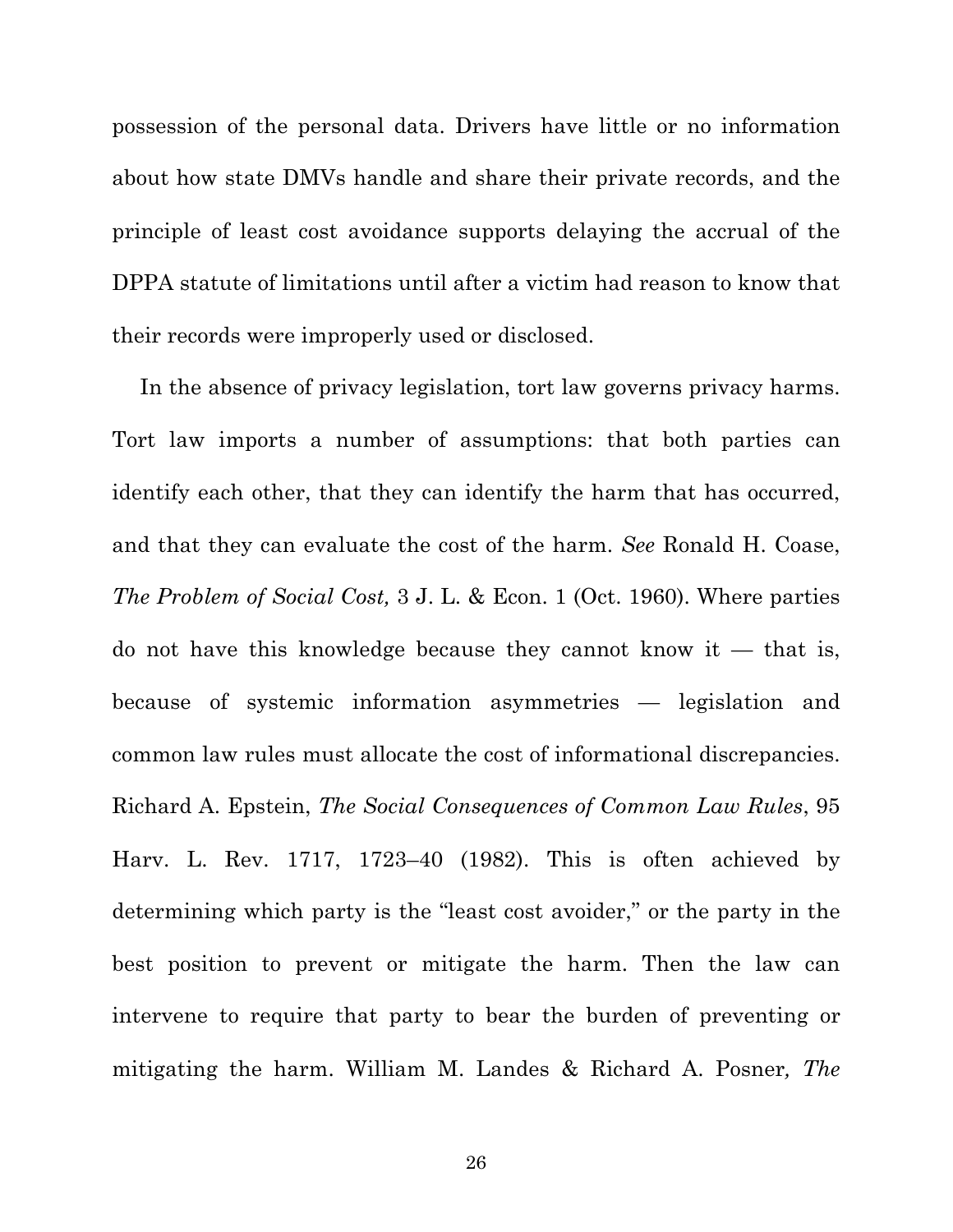possession of the personal data. Drivers have little or no information about how state DMVs handle and share their private records, and the principle of least cost avoidance supports delaying the accrual of the DPPA statute of limitations until after a victim had reason to know that their records were improperly used or disclosed.

In the absence of privacy legislation, tort law governs privacy harms. Tort law imports a number of assumptions: that both parties can identify each other, that they can identify the harm that has occurred, and that they can evaluate the cost of the harm. *See* Ronald H. Coase, *The Problem of Social Cost,* 3 J. L. & Econ. 1 (Oct. 1960). Where parties do not have this knowledge because they cannot know it  $-$  that is, because of systemic information asymmetries — legislation and common law rules must allocate the cost of informational discrepancies. Richard A. Epstein, *The Social Consequences of Common Law Rules*, 95 Harv. L. Rev. 1717, 1723–40 (1982). This is often achieved by determining which party is the "least cost avoider," or the party in the best position to prevent or mitigate the harm. Then the law can intervene to require that party to bear the burden of preventing or mitigating the harm. William M. Landes & Richard A. Posner*, The*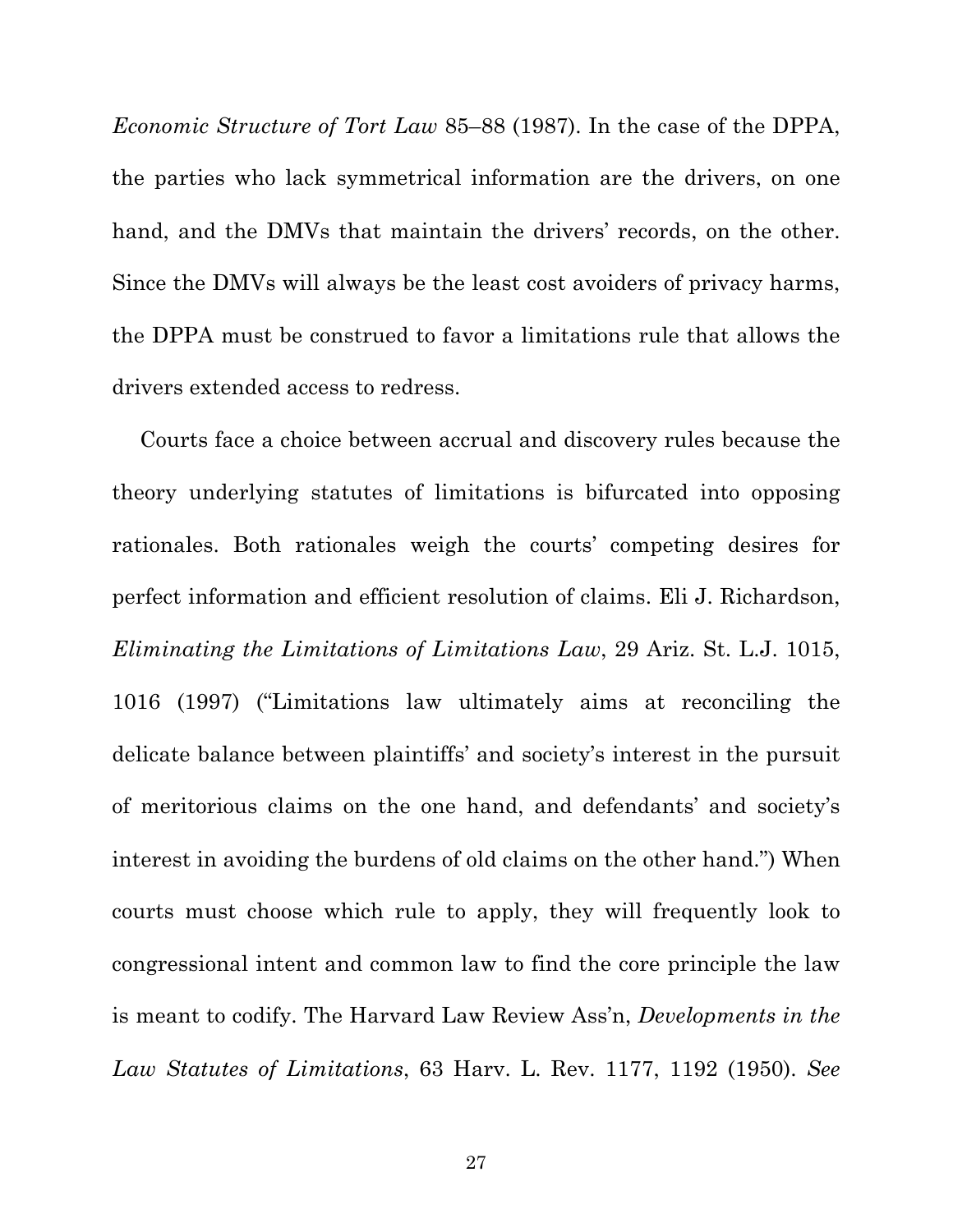*Economic Structure of Tort Law* 85–88 (1987). In the case of the DPPA, the parties who lack symmetrical information are the drivers, on one hand, and the DMVs that maintain the drivers' records, on the other. Since the DMVs will always be the least cost avoiders of privacy harms, the DPPA must be construed to favor a limitations rule that allows the drivers extended access to redress.

Courts face a choice between accrual and discovery rules because the theory underlying statutes of limitations is bifurcated into opposing rationales. Both rationales weigh the courts' competing desires for perfect information and efficient resolution of claims. Eli J. Richardson, *Eliminating the Limitations of Limitations Law*, 29 Ariz. St. L.J. 1015, 1016 (1997) ("Limitations law ultimately aims at reconciling the delicate balance between plaintiffs' and society's interest in the pursuit of meritorious claims on the one hand, and defendants' and society's interest in avoiding the burdens of old claims on the other hand.") When courts must choose which rule to apply, they will frequently look to congressional intent and common law to find the core principle the law is meant to codify. The Harvard Law Review Ass'n, *Developments in the Law Statutes of Limitations*, 63 Harv. L. Rev. 1177, 1192 (1950). *See*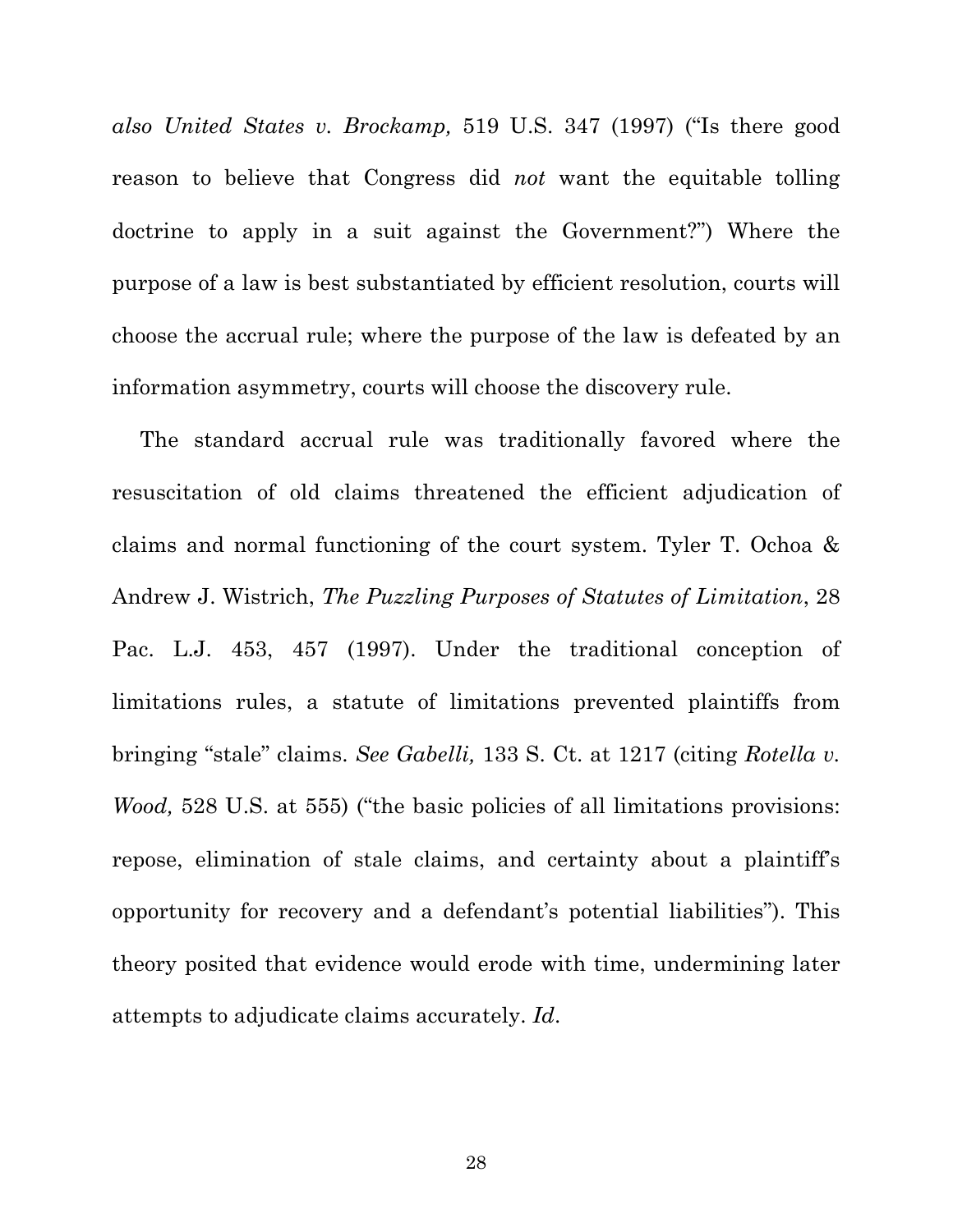*also United States v. Brockamp,* 519 U.S. 347 (1997) ("Is there good reason to believe that Congress did *not* want the equitable tolling doctrine to apply in a suit against the Government?") Where the purpose of a law is best substantiated by efficient resolution, courts will choose the accrual rule; where the purpose of the law is defeated by an information asymmetry, courts will choose the discovery rule.

The standard accrual rule was traditionally favored where the resuscitation of old claims threatened the efficient adjudication of claims and normal functioning of the court system. Tyler T. Ochoa & Andrew J. Wistrich, *The Puzzling Purposes of Statutes of Limitation*, 28 Pac. L.J. 453, 457 (1997). Under the traditional conception of limitations rules, a statute of limitations prevented plaintiffs from bringing "stale" claims. *See Gabelli,* 133 S. Ct. at 1217 (citing *Rotella v. Wood,* 528 U.S. at 555) ("the basic policies of all limitations provisions: repose, elimination of stale claims, and certainty about a plaintiff's opportunity for recovery and a defendant's potential liabilities"). This theory posited that evidence would erode with time, undermining later attempts to adjudicate claims accurately. *Id*.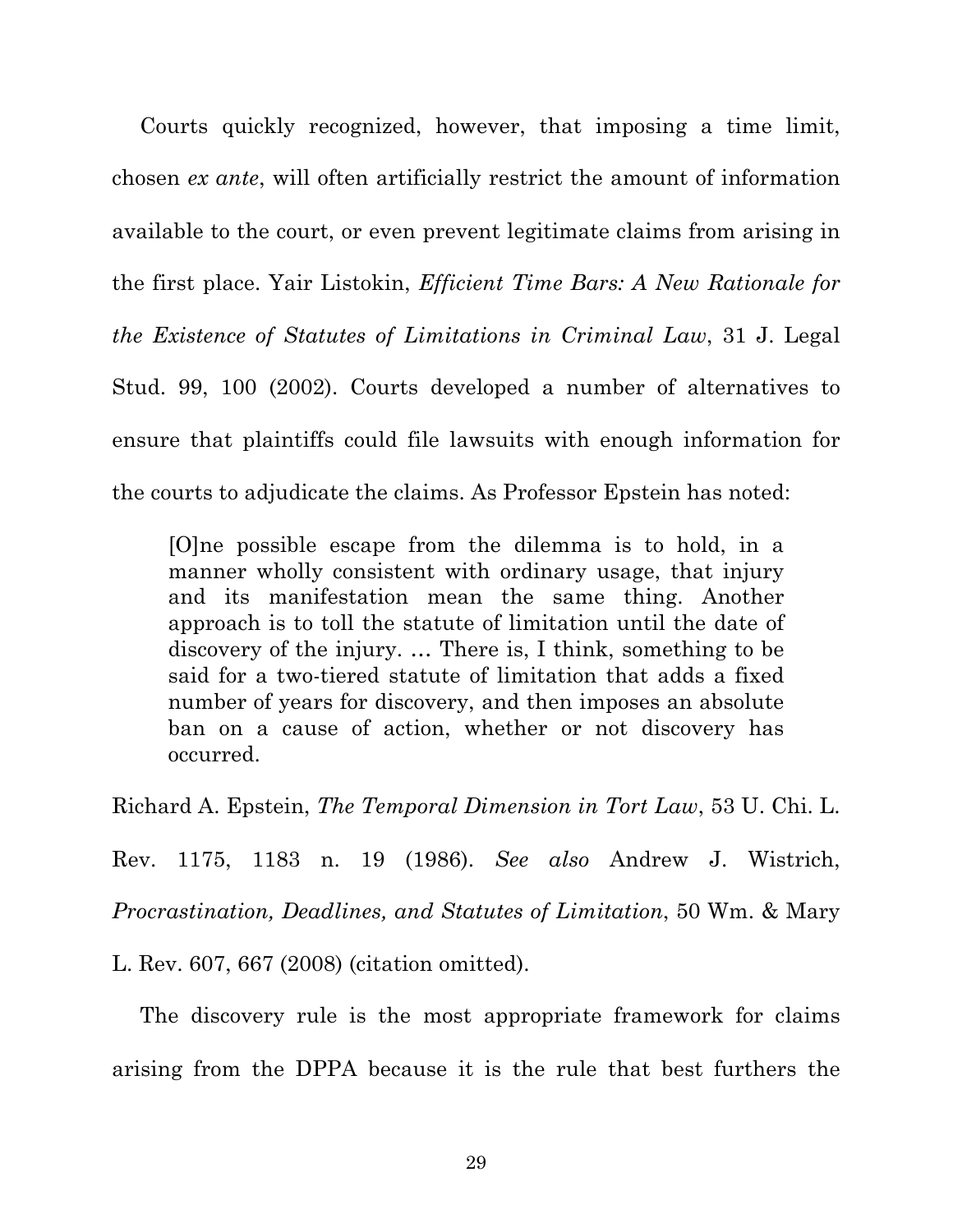Courts quickly recognized, however, that imposing a time limit, chosen *ex ante*, will often artificially restrict the amount of information available to the court, or even prevent legitimate claims from arising in the first place. Yair Listokin, *Efficient Time Bars: A New Rationale for the Existence of Statutes of Limitations in Criminal Law*, 31 J. Legal Stud. 99, 100 (2002). Courts developed a number of alternatives to ensure that plaintiffs could file lawsuits with enough information for the courts to adjudicate the claims. As Professor Epstein has noted:

[O]ne possible escape from the dilemma is to hold, in a manner wholly consistent with ordinary usage, that injury and its manifestation mean the same thing. Another approach is to toll the statute of limitation until the date of discovery of the injury. … There is, I think, something to be said for a two-tiered statute of limitation that adds a fixed number of years for discovery, and then imposes an absolute ban on a cause of action, whether or not discovery has occurred.

Richard A. Epstein, *The Temporal Dimension in Tort Law*, 53 U. Chi. L.

Rev. 1175, 1183 n. 19 (1986). *See also* Andrew J. Wistrich,

*Procrastination, Deadlines, and Statutes of Limitation*, 50 Wm. & Mary

L. Rev. 607, 667 (2008) (citation omitted).

The discovery rule is the most appropriate framework for claims arising from the DPPA because it is the rule that best furthers the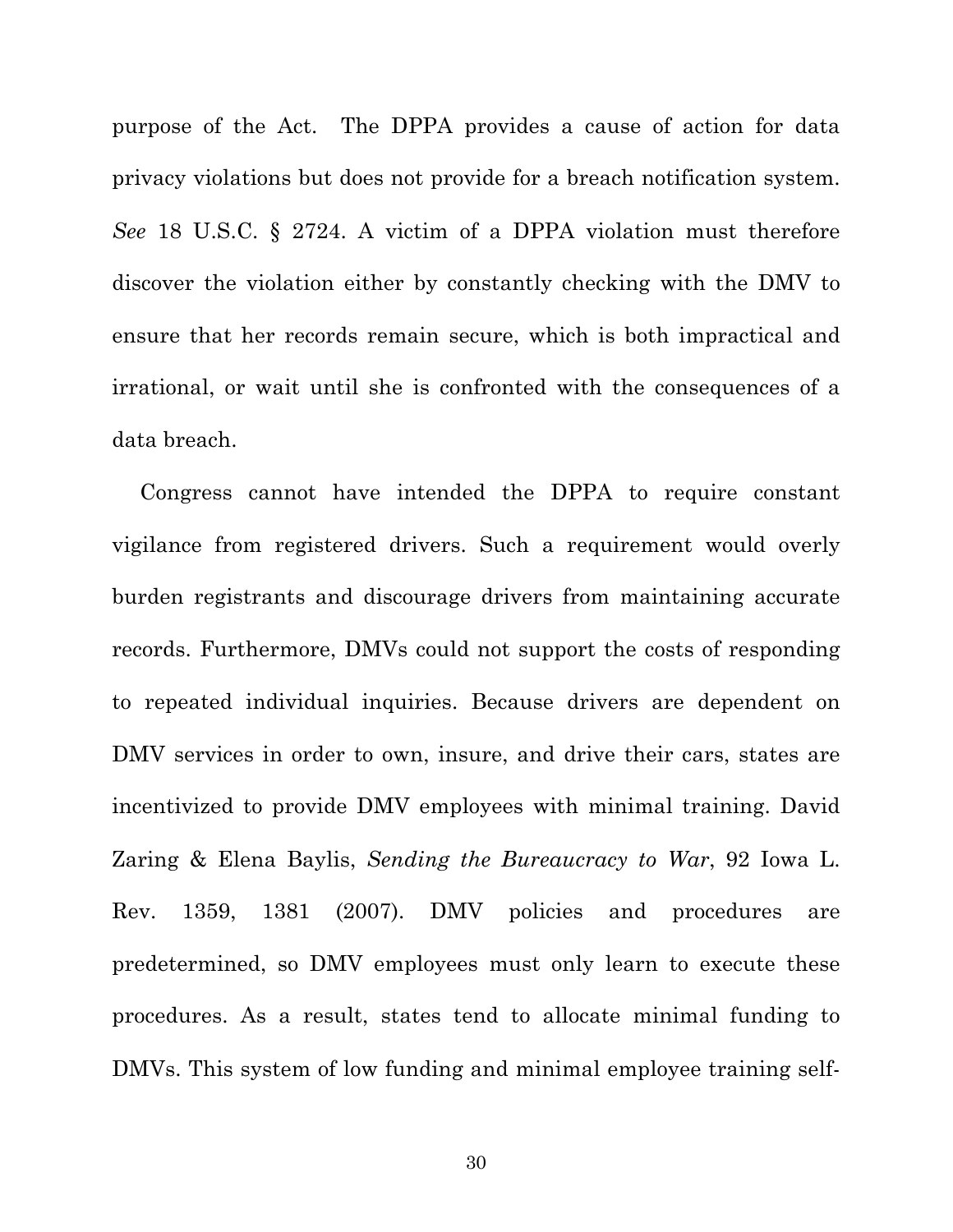purpose of the Act. The DPPA provides a cause of action for data privacy violations but does not provide for a breach notification system. *See* 18 U.S.C. § 2724. A victim of a DPPA violation must therefore discover the violation either by constantly checking with the DMV to ensure that her records remain secure, which is both impractical and irrational, or wait until she is confronted with the consequences of a data breach.

Congress cannot have intended the DPPA to require constant vigilance from registered drivers. Such a requirement would overly burden registrants and discourage drivers from maintaining accurate records. Furthermore, DMVs could not support the costs of responding to repeated individual inquiries. Because drivers are dependent on DMV services in order to own, insure, and drive their cars, states are incentivized to provide DMV employees with minimal training. David Zaring & Elena Baylis, *Sending the Bureaucracy to War*, 92 Iowa L. Rev. 1359, 1381 (2007). DMV policies and procedures are predetermined, so DMV employees must only learn to execute these procedures. As a result, states tend to allocate minimal funding to DMVs. This system of low funding and minimal employee training self-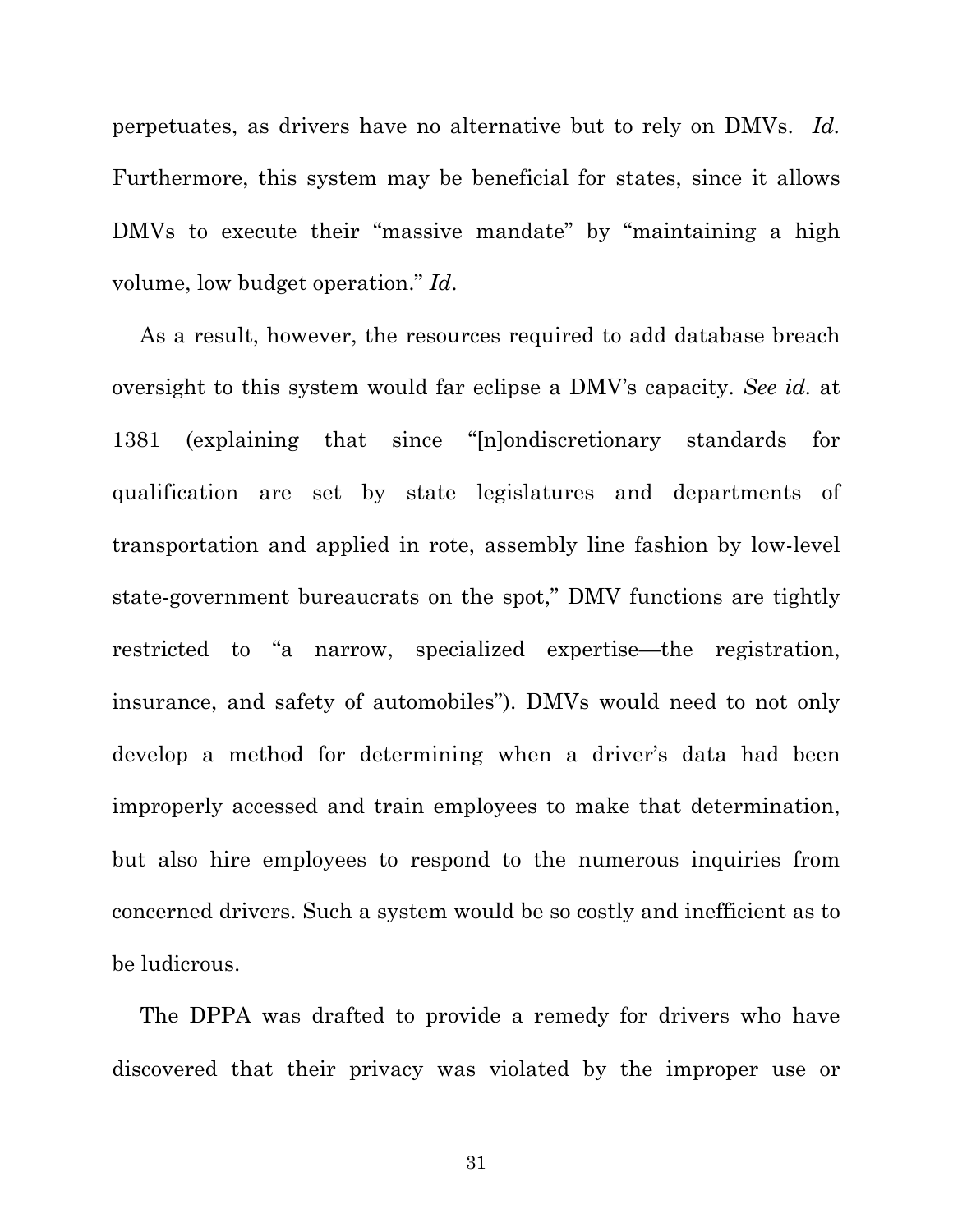perpetuates, as drivers have no alternative but to rely on DMVs. *Id.*  Furthermore, this system may be beneficial for states, since it allows DMVs to execute their "massive mandate" by "maintaining a high volume, low budget operation." *Id*.

As a result, however, the resources required to add database breach oversight to this system would far eclipse a DMV's capacity. *See id.* at 1381 (explaining that since "[n]ondiscretionary standards for qualification are set by state legislatures and departments of transportation and applied in rote, assembly line fashion by low-level state-government bureaucrats on the spot," DMV functions are tightly restricted to "a narrow, specialized expertise—the registration, insurance, and safety of automobiles"). DMVs would need to not only develop a method for determining when a driver's data had been improperly accessed and train employees to make that determination, but also hire employees to respond to the numerous inquiries from concerned drivers. Such a system would be so costly and inefficient as to be ludicrous.

The DPPA was drafted to provide a remedy for drivers who have discovered that their privacy was violated by the improper use or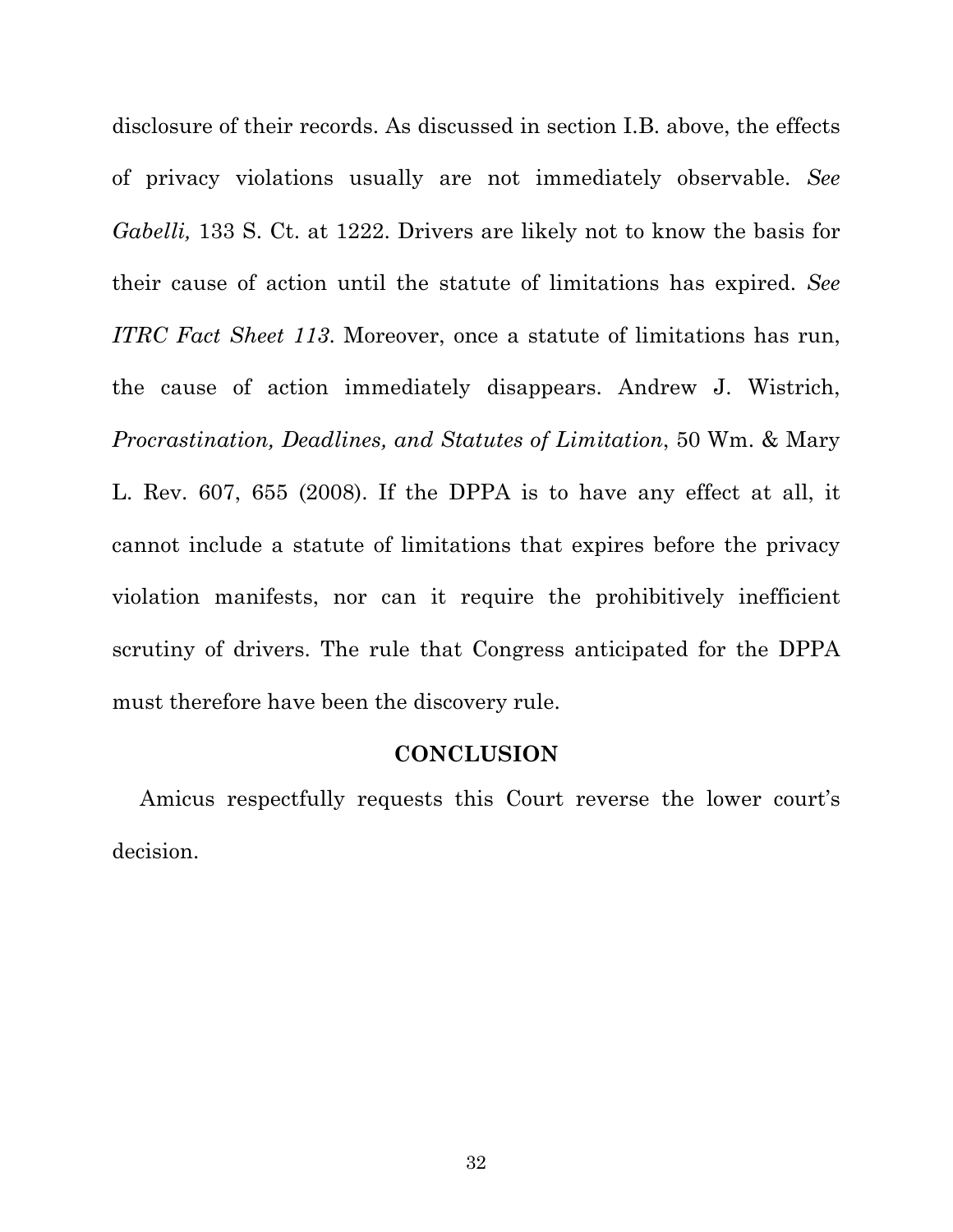disclosure of their records. As discussed in section I.B. above, the effects of privacy violations usually are not immediately observable. *See Gabelli,* 133 S. Ct. at 1222. Drivers are likely not to know the basis for their cause of action until the statute of limitations has expired. *See ITRC Fact Sheet 113*. Moreover, once a statute of limitations has run, the cause of action immediately disappears. Andrew J. Wistrich, *Procrastination, Deadlines, and Statutes of Limitation*, 50 Wm. & Mary L. Rev. 607, 655 (2008). If the DPPA is to have any effect at all, it cannot include a statute of limitations that expires before the privacy violation manifests, nor can it require the prohibitively inefficient scrutiny of drivers. The rule that Congress anticipated for the DPPA must therefore have been the discovery rule.

#### **CONCLUSION**

Amicus respectfully requests this Court reverse the lower court's decision.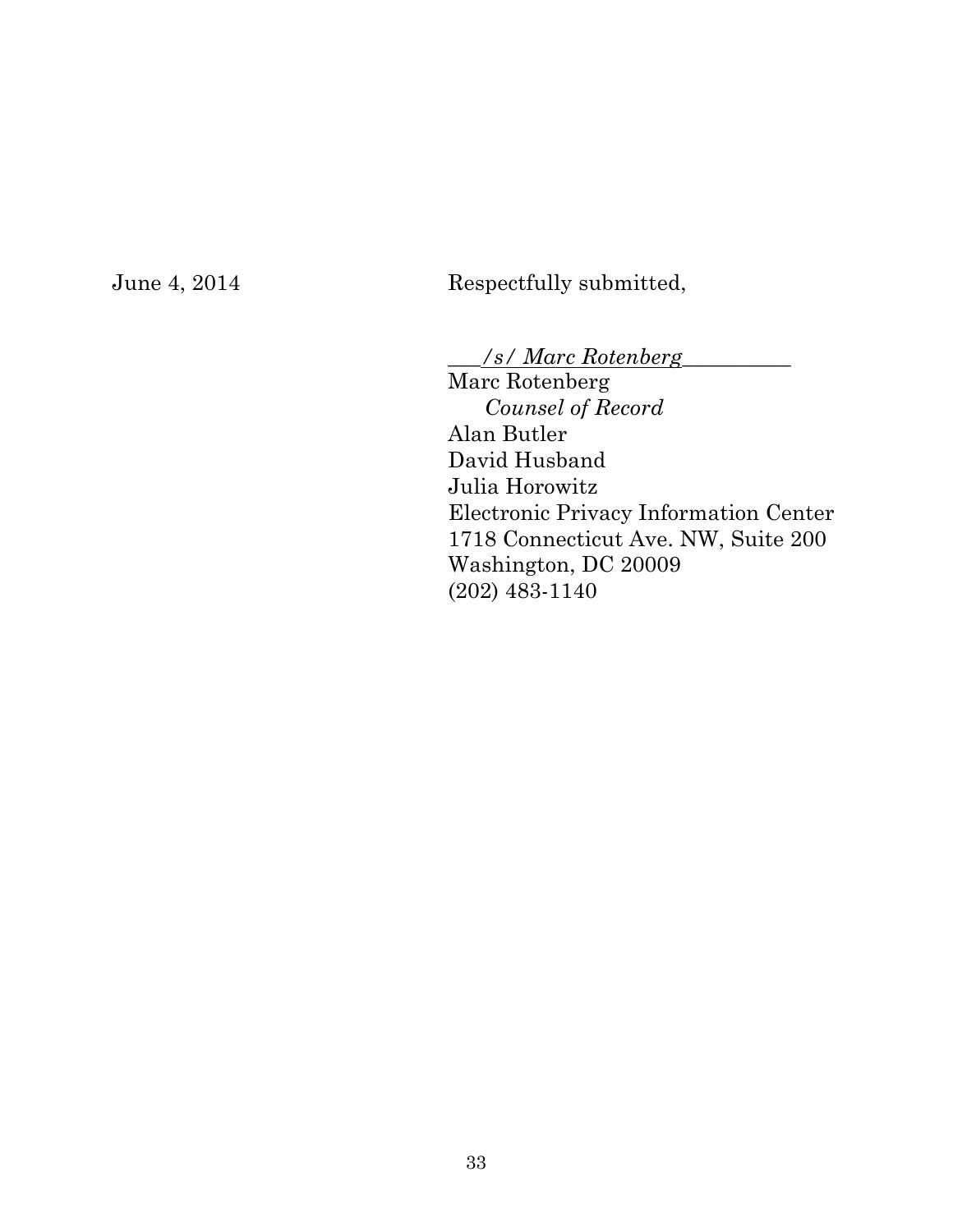## June 4, 2014 Respectfully submitted,

\_\_\_*/s/ Marc Rotenberg*\_\_\_\_\_\_\_\_\_\_

Marc Rotenberg *Counsel of Record* Alan Butler David Husband Julia Horowitz Electronic Privacy Information Center 1718 Connecticut Ave. NW, Suite 200 Washington, DC 20009 (202) 483-1140